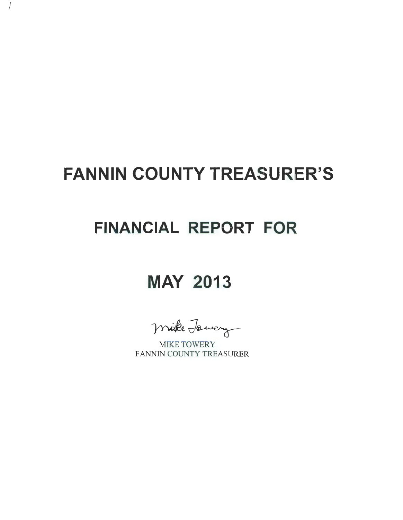## **FANNIN COUNTY TREASURER'S**

 $\int$ 

## **FINANCIAL REPORT FOR**

## **MAY 2013**

mike Jawery

FANNIN COUNTY TREASURER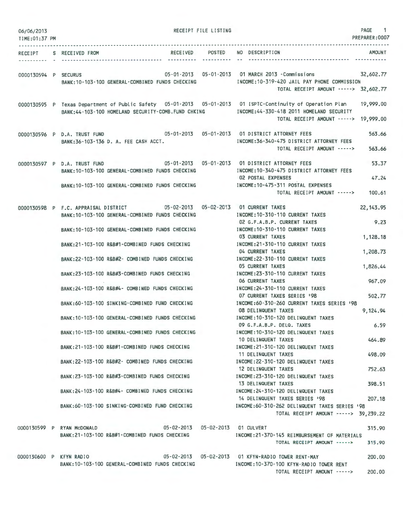| 06/06/2013<br>TIME: 01:37 PM |                              |                                                                                                                                                                                                 | RECEIPT FILE LISTING               |                                                                                                                                                                                                                                                    | PAGE 1<br>PREPARER: 0007 |
|------------------------------|------------------------------|-------------------------------------------------------------------------------------------------------------------------------------------------------------------------------------------------|------------------------------------|----------------------------------------------------------------------------------------------------------------------------------------------------------------------------------------------------------------------------------------------------|--------------------------|
|                              | RECEIPT S RECEIVED FROM      |                                                                                                                                                                                                 | ----------- --                     | RECEIVED POSTED NO DESCRIPTION                                                                                                                                                                                                                     | AMOUNT                   |
| 0000130594 P SECURUS         |                              | BANK: 10-103-100 GENERAL-COMBINED FUNDS CHECKING                                                                                                                                                |                                    | 05-01-2013  05-01-2013  01 MARCH  2013  -Commissions  32,602.77<br>INCOME:10-319-420 JAIL PAY PHONE COMMISSION<br>TOTAL RECEIPT AMOUNT -----> 32,602.77                                                                                            |                          |
|                              |                              |                                                                                                                                                                                                 |                                    | 0000130595 P Texas Department of Public Safety 05-01-2013 05-01-2013 01 ISPTC-Continuity of Operation Plan<br>BANK:44-103-100 HOMELAND SECURITY-COMB.FUND CHKING INCOME:44-330-418 2011 HOMELAND SECURITY<br>TOTAL RECEIPT AMOUNT -----> 19,999.00 | 19,999,00                |
|                              | 0000130596 P D.A. TRUST FUND | 05-01-2013  05-01-2013  01 DISTRICT ATTORNEY FEES<br>BANK: 36-103-136 D. A. FEE CASH ACCT.                                                                                                      |                                    | INCOME: 36-340-475 DISTRICT ATTORNEY FEES<br>TOTAL RECEIPT AMOUNT ----->                                                                                                                                                                           | 563.66<br>563.66         |
|                              |                              | 0000130597 P D.A. TRUST FUND 05-01-2013 05-01-2013 05-01-2013 01 DISTRICT ATTORNEY FEES<br>BANK: 10-103-100 GENERAL-COMBINED FUNDS CHECKING<br>BANK: 10-103-100 GENERAL-COMBINED FUNDS CHECKING |                                    | INCOME: 10-340-475 DISTRICT ATTORNEY FEES<br><b>02 POSTAL EXPENSES</b><br>INCOME:10-475-311 POSTAL EXPENSES                                                                                                                                        | 53.37<br>47.24           |
|                              |                              | 0000130598 P F.C. APPRAISAL DISTRICT 05-02-2013 05-02-2013 01 CURRENT TAXES                                                                                                                     |                                    | TOTAL RECEIPT AMOUNT ----->                                                                                                                                                                                                                        | 100.61<br>22, 143.95     |
|                              |                              | BANK: 10-103-100 GENERAL-COMBINED FUNDS CHECKING<br>BANK: 10-103-100 GENERAL-COMBINED FUNDS CHECKING                                                                                            |                                    | INCOME: 10-310-110 CURRENT TAXES<br>02 G.F.A.B.P. CURRENT TAXES<br>INCOME: 10-310-110 CURRENT TAXES                                                                                                                                                | 9.23                     |
|                              |                              | BANK:21-103-100 R&B#1-COMBINED FUNDS CHECKING                                                                                                                                                   |                                    | <b>03 CURRENT TAXES</b><br>INCOME: 21-310-110 CURRENT TAXES                                                                                                                                                                                        | 1,128.18                 |
|                              |                              | BANK:22-103-100 R&B#2- COMBINED FUNDS CHECKING                                                                                                                                                  |                                    | 04 CURRENT TAXES<br>INCOME: 22-310-110 CURRENT TAXES<br><b>05 CURRENT TAXES</b>                                                                                                                                                                    | 1,208.73                 |
|                              |                              | BANK:23-103-100 R&B#3-COMBINED FUNDS CHECKING                                                                                                                                                   |                                    | INCOME: 23-310-110 CURRENT TAXES<br>06 CURRENT TAXES                                                                                                                                                                                               | 1,826.44<br>967.09       |
|                              |                              | BANK: 24-103-100 R&B#4- COMBINED FUNDS CHECKING                                                                                                                                                 |                                    | INCOME: 24-310-110 CURRENT TAXES<br>07 CURRENT TAXES SERIES 198                                                                                                                                                                                    | 502.77                   |
|                              |                              | BANK:60-103-100 SINKING-COMBINED FUND CHECKING<br>BANK: 10-103-100 GENERAL-COMBINED FUNDS CHECKING                                                                                              |                                    | INCOME:60-310-260 CURRENT TAXES SERIES '98<br>08 DELINQUENT TAXES<br>INCOME: 10-310-120 DELINQUENT TAXES                                                                                                                                           | 9,124.94                 |
|                              |                              | BANK:10-103-100 GENERAL-COMBINED FUNDS CHECKING                                                                                                                                                 |                                    | 09 G.F.A.B.P. DELQ. TAXES<br>INCOME: 10-310-120 DELINQUENT TAXES                                                                                                                                                                                   | 6.59                     |
|                              |                              | BANK:21-103-100 R&B#1-COMBINED FUNDS CHECKING                                                                                                                                                   |                                    | 10 DELINQUENT TAXES<br>INCOME:21-310-120 DELINQUENT TAXES                                                                                                                                                                                          | 464.89                   |
|                              |                              | BANK: 22-103-100 R&B#2- COMBINED FUNDS CHECKING                                                                                                                                                 |                                    | 11 DELINQUENT TAXES<br>INCOME: 22-310-120 DELINQUENT TAXES<br>12 DELINQUENT TAXES                                                                                                                                                                  | 498.09<br>752.63         |
|                              |                              | BANK:23-103-100 R&B#3-COMBINED FUNDS CHECKING                                                                                                                                                   |                                    | INCOME:23-310-120 DELINQUENT TAXES<br>13 DELINQUENT TAXES                                                                                                                                                                                          | 398.51                   |
|                              |                              | BANK:24-103-100 R&B#4- COMBINED FUNDS CHECKING                                                                                                                                                  |                                    | INCOME: 24-310-120 DELINQUENT TAXES<br>14 DELINQUENT TAXES SERIES '98                                                                                                                                                                              | 207.18                   |
|                              |                              | BANK:60-103-100 SINKING-COMBINED FUND CHECKING                                                                                                                                                  |                                    | INCOME:60-310-262 DELINQUENT TAXES SERIES '98<br>TOTAL RECEIPT AMOUNT -----> 39,239.22                                                                                                                                                             |                          |
|                              | 0000130599 P RYAN McDONALD   | BANK:21-103-100 R&B#1-COMBINED FUNDS CHECKING                                                                                                                                                   | 05-02-2013  05-02-2013  01 CULVERT | INCOME:21-370-145 REIMBURSEMENT OF MATERIALS<br>TOTAL RECEIPT AMOUNT ----->                                                                                                                                                                        | 315,90<br>315.90         |
|                              |                              | BANK:10-103-100 GENERAL-COMBINED FUNDS CHECKING                                                                                                                                                 |                                    | 0000130600 P KFYN RADIO 05-02-2013 05-02-2013 01 KFYN-RADIO TOWER RENT-MAY<br>INCOME: 10-370-100 KFYN-RADIO TOWER RENT<br>TOTAL RECEIPT AMOUNT ----->                                                                                              | 200,00<br>200.00         |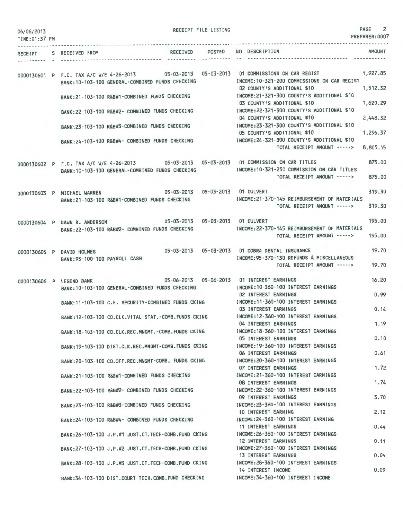| 06/06/2013<br>TIME: 01:37 PM |                                                                                                                                                                                                 | RECEIPT FILE LISTING | PAGE<br>PREPARER:0007                                                                                                                              | $\overline{2}$ |
|------------------------------|-------------------------------------------------------------------------------------------------------------------------------------------------------------------------------------------------|----------------------|----------------------------------------------------------------------------------------------------------------------------------------------------|----------------|
| RECEIPT                      | RECEIVED POSTED<br>S RECEIVED FROM                                                                                                                                                              |                      | <b>AMOUNT</b><br>NO DESCRIPTION                                                                                                                    |                |
|                              | 0000130601 P F.C. TAX A/C W/E 4-26-2013 05-03-2013 05-03-2013 01 COMMISSIONS ON CAR REGIST<br>BANK: 10-103-100 GENERAL-COMBINED FUNDS CHECKING<br>BANK:21-103-100 R&B#1-COMBINED FUNDS CHECKING |                      | 1,927.85<br>INCOME: 10-321-200 COMMISSIONS ON CAR REGIST<br>1,512.32<br>02 COUNTY'S ADDITIONAL \$10<br>INCOME: 21-321-300 COUNTY'S ADDITIONAL \$10 |                |
|                              | BANK:22-103-100 R&B#2- COMBINED FUNDS CHECKING                                                                                                                                                  |                      | 1,620.29<br>03 COUNTY'S ADDITIONAL \$10<br>INCOME: 22-321-300 COUNTY'S ADDITIONAL \$10                                                             |                |
|                              | BANK:23-103-100 R&B#3-COMBINED FUNDS CHECKING                                                                                                                                                   |                      | 2.448.32<br>04 COUNTY'S ADDITIONAL \$10<br>INCOME: 23-321-300 COUNTY'S ADDITIONAL \$10                                                             |                |
|                              | BANK: 24-103-100 R&B#4- COMBINED FUNDS CHECKING                                                                                                                                                 |                      | 05 COUNTY'S ADDITIONAL \$10<br>1,296.37<br>INCOME: 24-321-300 COUNTY'S ADDITIONAL \$10<br>TOTAL RECEIPT AMOUNT -----><br>8,805.15                  |                |
|                              | 0000130602 P F.C. TAX A/C W/E 4-26-2013 05-03-2013 05-03-2013 01 COMMISSION ON CAR TITLES<br>BANK: 10-103-100 GENERAL-COMBINED FUNDS CHECKING                                                   |                      | 875,00<br>INCOME: 10-321-250 COMMISSION ON CAR TITLES<br>875.00<br>TOTAL RECEIPT AMOUNT ----->                                                     |                |
|                              | 05-03-2013  05-03-2013  01 CULVERT<br>0000130603 P MICHAEL WARREN<br>BANK: 21-103-100 R&B#1-COMBINED FUNDS CHECKING                                                                             |                      | 319.30<br>INCOME:21-370-145 REIMBURSEMENT OF MATERIALS<br>319.30<br>TOTAL RECEIPT AMOUNT ----->                                                    |                |
|                              | 05-03-2013 05-03-2013 01 CULVERT<br>0000130604 P DAWN R. ANDERSON                                                                                                                               |                      | 195.00                                                                                                                                             |                |
|                              | BANK: 22-103-100 R&B#2- COMBINED FUNDS CHECKING                                                                                                                                                 |                      | INCOME: 22-370-145 REIMBURSEMENT OF MATERIALS<br>TOTAL RECEIPT AMOUNT -----><br>195,00                                                             |                |
|                              | 0000130605 P DAVID HOLMES<br>BANK: 95-100-100 PAYROLL CASH                                                                                                                                      |                      | 19.70<br>05-03-2013  05-03-2013  01 COBRA DENTAL INSURANCE<br>INCOME: 95-370-130 REFUNDS & MISCELLANEOUS<br>19.70<br>TOTAL RECEIPT AMOUNT ----->   |                |
|                              | 05-06-2013 05-06-2013 01 INTEREST EARNINGS<br>0000130606 P LEGEND BANK<br>BANK: 10-103-100 GENERAL-COMBINED FUNDS CHECKING                                                                      |                      | 16.20<br>INCOME: 10-360-100 INTEREST EARNINGS<br>0.99<br><b>02 INTEREST EARNINGS</b>                                                               |                |
|                              | BANK:11-103-100 C.H. SECURITY-COMBINED FUNDS CKING                                                                                                                                              |                      | INCOME: 11-360-100 INTEREST EARNINGS<br>0.14<br>03 INTEREST EARNINGS                                                                               |                |
|                              | BANK: 12-103-100 CO.CLK.VITAL STAT. - COMB. FUNDS CKING                                                                                                                                         |                      | INCOME: 12-360-100 INTEREST EARNINGS<br>1.19<br>04 INTEREST EARNINGS                                                                               |                |
|                              | BANK: 18-103-100 CO.CLK.REC.MNGMT. - COMB. FUNDS CKING                                                                                                                                          |                      | INCOME: 18-360-100 INTEREST EARNINGS<br>0.10<br>05 INTEREST EARNINGS                                                                               |                |
|                              | BANK: 19-103-100 DIST.CLK.REC.MNGMT-COMB.FUNDS CKING                                                                                                                                            |                      | INCOME: 19-360-100 INTEREST EARNINGS<br>0.61<br>06 INTEREST EARNINGS                                                                               |                |
|                              | BANK:20-103-100 CO.OFF.REC.MNGMT-COMB. FUNDS CKING<br>BANK:21-103-100 R&B#1-COMBINED FUNDS CHECKING                                                                                             |                      | INCOME: 20-360-100 INTEREST EARNINGS<br>1.72<br>07 INTEREST EARNINGS<br>INCOME: 21-360-100 INTEREST EARNINGS                                       |                |
|                              | BANK: 22-103-100 R&B#2- COMBINED FUNDS CHECKING                                                                                                                                                 |                      | 1.74<br><b>08 INTEREST EARNINGS</b><br>INCOME: 22-360-100 INTEREST EARNINGS                                                                        |                |
|                              | BANK:23-103-100 R&B#3-COMBINED FUNDS CHECKING                                                                                                                                                   |                      | 3.70<br>09 INTEREST EARNINGS<br>INCOME: 23-360-100 INTEREST EARNINGS                                                                               |                |
|                              | BANK: 24-103-100 R&B#4- COMBINED FUNDS CHECKING                                                                                                                                                 |                      | 2.12<br>10 INTEREST EARNING<br>INCOME: 24-360-100 INTEREST EARNING                                                                                 |                |
|                              | BANK:26-103-100 J.P.#1 JUST.CT.TECH-COMB.FUND CKING                                                                                                                                             |                      | 0.44<br><b>11 INTEREST EARNINGS</b><br>INCOME: 26-360-100 INTEREST EARNINGS                                                                        |                |
|                              | BANK:27-103-100 J.P.#2 JUST.CT.TECH-COMB.FUND CKING                                                                                                                                             |                      | 0.11<br><b>12 INTEREST EARNINGS</b><br>INCOME: 27-360-100 INTEREST EARNINGS                                                                        |                |
|                              | BANK:28-103-100 J.P.#3 JUST.CT.TECH-COMB.FUND CKING                                                                                                                                             |                      | 0.04<br><b>13 INTEREST EARNINGS</b><br>INCOME: 28-360-100 INTEREST EARNINGS<br>0.09                                                                |                |
|                              | BANK: 34-103-100 DIST.COURT TECH.COMB.FUND CHECKING                                                                                                                                             |                      | 14 INTEREST INCOME<br>INCOME: 34-360-100 INTEREST INCOME                                                                                           |                |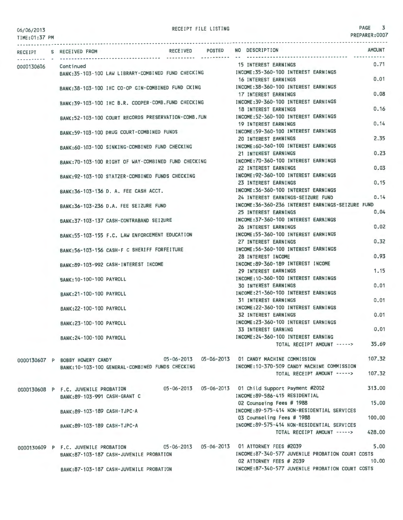06/06/2013

TIME:01:37 PM

| <b>RECEIPT</b> | S RECEIVED FROM                                      | <b>RECEIVED</b> | POSTED | <b>AMOUNT</b><br>NO DESCRIPTION                                     |  |  |  |
|----------------|------------------------------------------------------|-----------------|--------|---------------------------------------------------------------------|--|--|--|
|                |                                                      |                 |        | 0.71<br>15 INTEREST EARNINGS                                        |  |  |  |
| 0000130606     | Continued                                            |                 |        |                                                                     |  |  |  |
|                | BANK:35-103-100 LAW LIBRARY-COMBINED FUND CHECKING   |                 |        | INCOME:35-360-100 INTEREST EARNINGS<br>0.01<br>16 INTEREST EARNINGS |  |  |  |
|                |                                                      |                 |        |                                                                     |  |  |  |
|                | BANK:38-103-100 IHC CO-OP GIN-COMBINED FUND CKING    |                 |        | INCOME: 38-360-100 INTEREST EARNINGS<br>0.08                        |  |  |  |
|                |                                                      |                 |        | 17 INTEREST EARNINGS                                                |  |  |  |
|                | BANK:39-103-100 IHC B.R. COOPER-COMB.FUND CHECKING   |                 |        | INCOME:39-360-100 INTEREST EARNINGS                                 |  |  |  |
|                |                                                      |                 |        | 0.16<br><b>18 INTEREST EARNINGS</b>                                 |  |  |  |
|                | BANK:52-103-100 COURT RECORDS PRESERVATION-COMB. FUN |                 |        | INCOME: 52-360-100 INTEREST EARNINGS                                |  |  |  |
|                |                                                      |                 |        | 0.14<br><b>19 INTEREST EARNINGS</b>                                 |  |  |  |
|                | BANK: 59-103-100 DRUG COURT-COMBINED FUNDS           |                 |        | INCOME: 59-360-100 INTEREST EARNINGS                                |  |  |  |
|                |                                                      |                 |        | 2.35<br><b>20 INTEREST EARNINGS</b>                                 |  |  |  |
|                | BANK:60-103-100 SINKING-COMBINED FUND CHECKING       |                 |        | INCOME:60-360-100 INTEREST EARNINGS                                 |  |  |  |
|                |                                                      |                 |        | 0.23<br>21 INTEREST EARNINGS                                        |  |  |  |
|                | BANK:70-103-100 RIGHT OF WAY-COMBINED FUND CHECKING  |                 |        | INCOME: 70-360-100 INTEREST EARNINGS                                |  |  |  |
|                |                                                      |                 |        | 0.03<br>22 INTEREST EARNINGS                                        |  |  |  |
|                | BANK: 92-103-100 STATZER-COMBINED FUNDS CHECKING     |                 |        | INCOME: 92-360-100 INTEREST EARNINGS                                |  |  |  |
|                |                                                      |                 |        | 0.15<br>23 INTEREST EARNINGS                                        |  |  |  |
|                | BANK:36-103-136 D. A. FEE CASH ACCT.                 |                 |        | INCOME: 36-360-100 INTEREST EARNINGS                                |  |  |  |
|                |                                                      |                 |        | 0.14<br>24 INTEREST EARNINGS-SEIZURE FUND                           |  |  |  |
|                | BANK: 36-103-236 D.A. FEE SEIZURE FUND               |                 |        | INCOME: 36-360-236 INTEREST EARNINGS-SEIZURE FUND                   |  |  |  |
|                |                                                      |                 |        | 0.04<br>25 INTEREST EARNINGS                                        |  |  |  |
|                | BANK: 37-103-137 CASH-CONTRABAND SEIZURE             |                 |        | INCOME: 37-360-100 INTEREST EARNINGS                                |  |  |  |
|                |                                                      |                 |        | 0.02<br>26 INTEREST EARNINGS                                        |  |  |  |
|                | BANK:55-103-155 F.C. LAW ENFORCEMENT EDUCATION       |                 |        | INCOME: 55-360-100 INTEREST EARNINGS                                |  |  |  |
|                |                                                      |                 |        | 0.32<br>27 INTEREST EARNINGS                                        |  |  |  |
|                |                                                      |                 |        | INCOME: 56-360-100 INTEREST EARNINGS                                |  |  |  |
|                | BANK: 56-103-156 CASH-F C SHERIFF FORFEITURE         |                 |        | 0.93<br>28 INTEREST INCOME                                          |  |  |  |
|                |                                                      |                 |        | INCOME:89-360-189 INTEREST INCOME                                   |  |  |  |
|                | BANK:89-103-992 CASH-INTEREST INCOME                 |                 |        | 1.15<br><b>29 INTEREST EARNINGS</b>                                 |  |  |  |
|                |                                                      |                 |        | INCOME:10-360-100 INTEREST EARNINGS                                 |  |  |  |
|                | BANK: 10-100-100 PAYROLL                             |                 |        | 0.01<br><b>30 INTEREST EARNINGS</b>                                 |  |  |  |
|                |                                                      |                 |        | INCOME:21-360-100 INTEREST EARNINGS                                 |  |  |  |
|                | BANK:21-100-100 PAYROLL                              |                 |        | 0.01<br><b>31 INTEREST EARNINGS</b>                                 |  |  |  |
|                |                                                      |                 |        | INCOME: 22-360-100 INTEREST EARNINGS                                |  |  |  |
|                | BANK: 22-100-100 PAYROLL                             |                 |        | 0.01<br><b>32 INTEREST EARNINGS</b>                                 |  |  |  |
|                |                                                      |                 |        |                                                                     |  |  |  |
|                | BANK: 23-100-100 PAYROLL                             |                 |        | INCOME: 23-360-100 INTEREST EARNINGS<br>0.01                        |  |  |  |
|                |                                                      |                 |        | <b>33 INTEREST EARNING</b>                                          |  |  |  |
|                | BANK: 24-100-100 PAYROLL                             |                 |        | INCOME: 24-360-100 INTEREST EARNING                                 |  |  |  |
|                |                                                      |                 |        | 35.69<br>TOTAL RECEIPT AMOUNT ----->                                |  |  |  |
|                |                                                      |                 |        | 107.32                                                              |  |  |  |
|                | 0000130607 P BOBBY HOWERY CANDY                      |                 |        | 05-06-2013  05-06-2013  01 CANDY MACHINE COMMISSION                 |  |  |  |
|                | BANK: 10-103-100 GENERAL-COMBINED FUNDS CHECKING     |                 |        | INCOME:10-370-509 CANDY MACHINE COMMISSION                          |  |  |  |
|                |                                                      |                 |        | 107.32<br>TOTAL RECEIPT AMOUNT ----->                               |  |  |  |
|                |                                                      |                 |        |                                                                     |  |  |  |
|                | 0000130608 P F.C. JUVENILE PROBATION                 |                 |        | 313.00<br>05-06-2013  05-06-2013  01 Child Support Payment #2002    |  |  |  |
|                | BANK:89-103-991 CASH-GRANT C                         |                 |        | INCOME:89-586-415 RESIDENTIAL                                       |  |  |  |
|                |                                                      |                 |        | 02 Counseing Fees # 1988<br>15,00                                   |  |  |  |
|                | BANK: 89-103-189 CASH-TJPC-A                         |                 |        | INCOME: 89-575-414 NON-RESIDENTIAL SERVICES                         |  |  |  |
|                |                                                      |                 |        | 03 Counseling Fees # 1988<br>100,00                                 |  |  |  |
|                | BANK: 89-103-189 CASH-TJPC-A                         |                 |        | INCOME:89-575-414 NON-RESIDENTIAL SERVICES                          |  |  |  |
|                |                                                      |                 |        | 428.00<br>TOTAL RECEIPT AMOUNT ----->                               |  |  |  |
|                |                                                      |                 |        | 5.00<br>05-06-2013  05-06-2013  01 ATTORNEY FEES #2039              |  |  |  |
|                | 0000130609 P F.C. JUVENILE PROBATION                 |                 |        | INCOME:87-340-577 JUVENILE PROBATION COURT COSTS                    |  |  |  |
|                | BANK:87-103-187 CASH-JUVENILE PROBATION              |                 |        | 10,00<br>02 ATTORNEY FEES # 2039                                    |  |  |  |
|                |                                                      |                 |        | INCOME:87-340-577 JUVENILE PROBATION COURT COSTS                    |  |  |  |
|                | BANK: 87-103-187 CASH-JUVENILE PROBATION             |                 |        |                                                                     |  |  |  |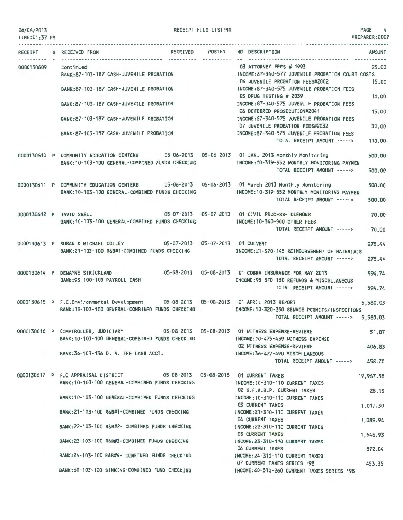06/06/2013 TIME:01:37 PM RECEIPT FILE LISTING 4

|            | RECEIPT S RECEIVED FROM                                                                                                                                                    | RECEIVED POSTED NO DESCRIPTION<br><b>AMOUNT</b>                                                                       |
|------------|----------------------------------------------------------------------------------------------------------------------------------------------------------------------------|-----------------------------------------------------------------------------------------------------------------------|
| 0000130609 | Cont inued<br>BANK:87-103-187 CASH-JUVENILE PROBATION                                                                                                                      | 03 ATTORNEY FEES # 1993<br>25.00<br>INCOME: 87-340-577 JUVENILE PROBATION COURT COSTS                                 |
|            | BANK: 87-103-187 CASH-JUVENILE PROBATION                                                                                                                                   | 04 JUVENILE PROBATION FEES#2002<br>15.00<br>INCOME:87-340-575 JUVENILE PROBATION FEES                                 |
|            | BANK:87-103-187 CASH-JUVENILE PROBATION                                                                                                                                    | 05 DRUG TESTING # 2039<br>10.00<br>INCOME:87-340-575 JUVENILE PROBATION FEES                                          |
|            | BANK:87-103-187 CASH-JUVENILE PROBATION                                                                                                                                    | 06 DEFERRED PROSECUTION#2041<br>15.00<br>INCOME:87-340-575 JUVENILE PROBATION FEES<br>07 JUVENILE PROBATION FEES#2032 |
|            | BANK:87-103-187 CASH-JUVENILE PROBATION                                                                                                                                    | 30.00<br>INCOME:87-340-575 JUVENILE PROBATION FEES<br>TOTAL RECEIPT AMOUNT -----><br>110.00                           |
|            |                                                                                                                                                                            |                                                                                                                       |
|            | 0000130610 P COMMUNITY EDUCATION CENTERS 05-06-2013 05-06-2013 01 JAN. 2013 Monthly Monitoring<br>BANK: 10-103-100 GENERAL-COMBINED FUNDS CHECKING                         | 500.00<br>INCOME: 10-319-552 MONTHLY MONITORING PAYMEN<br>TOTAL RECEIPT AMOUNT -----><br>500,00                       |
|            | 0000130611 P COMMUNITY EDUCATION CENTERS 05-06-2013 05-06-2013 01 March 2013 Monthly Monitoring                                                                            | 500.00                                                                                                                |
|            | BANK: 10-103-100 GENERAL-COMBINED FUNDS CHECKING                                                                                                                           | INCOME: 10-319-552 MONTHLY MONITORING PAYMEN<br>TOTAL RECEIPT AMOUNT -----><br>500,00                                 |
|            | 0000130612 P DAVID SNELL<br>BANK: 10-103-100 GENERAL-COMBINED FUNDS CHECKING                                                                                               | 05-07-2013  05-07-2013  01 CIVIL PROCESS- CLEMONS<br>70,00<br>INCOME: 10-340-900 OTHER FEES                           |
|            |                                                                                                                                                                            | TOTAL RECEIPT AMOUNT -----><br>70.00                                                                                  |
|            | 0000130613 P SUSAN & MICHAEL COLLEY 05-07-2013 05-07-2013 01 CULVERT<br>BANK:21-103-100 R&B#1-COMBINED FUNDS CHECKING                                                      | 275.44<br>INCOME:21-370-145 REIMBURSEMENT OF MATERIALS                                                                |
|            |                                                                                                                                                                            | TOTAL RECEIPT AMOUNT -----><br>275.44                                                                                 |
|            | 0000130614 P DEWAYNE STRICKLAND 05-08-2013 05-08-2013 01 COBRA INSURANCE FOR MAY 2013<br>BANK:95-100-100 PAYROLL CASH                                                      | 594.74<br>INCOME: 95-370-130 REFUNDS & MISCELLANEOUS                                                                  |
|            |                                                                                                                                                                            | 594.74<br>TOTAL RECEIPT AMOUNT ----->                                                                                 |
|            | 0000130615 P F.C.Environmental Development 05-08-2013 05-08-2013 01 APRIL 2013 REPORT<br>BANK: 10-103-100 GENERAL-COMBINED FUNDS CHECKING                                  | 5,580.03<br>INCOME:10-320-300 SEWAGE PERMITS/INSPECTIONS<br>TOTAL RECEIPT AMOUNT -----><br>5,580.03                   |
|            | 0000130616 P COMPTROLLER, JUDICIARY 05-08-2013 05-08-2013 01 WITNESS EXPENSE-REVIERE<br>BANK:10-103-100 GENERAL-COMBINED FUNDS CHECKING [INCOME:10-475-439 WITNESS EXPENSE | 51.87                                                                                                                 |
|            | BANK: 36-103-136 D. A. FEE CASH ACCT.                                                                                                                                      | 02 WITNESS EXPENSE-REVIERE<br>406.83<br>INCOME: 36-477-490 MISCELLANEOUS                                              |
|            |                                                                                                                                                                            | TOTAL RECEIPT AMOUNT -----><br>458.70                                                                                 |
|            | 0000130617 P F.C APPRAISAL DISTRICT 05-08-2013 05-08-2013 01 CURRENT TAXES<br>BANK: 10-103-100 GENERAL-COMBINED FUNDS CHECKING                                             | 19,967.58<br>INCOME: 10-310-110 CURRENT TAXES                                                                         |
|            | BANK: 10-103-100 GENERAL-COMBINED FUNDS CHECKING                                                                                                                           | 02 G.F.A.B.P. CURRENT TAXES<br>28,15<br>INCOME: 10-310-110 CURRENT TAXES                                              |
|            | BANK:21-103-100 R&B#1-COMBINED FUNDS CHECKING                                                                                                                              | 03 CURRENT TAXES<br>1,017.30<br>INCOME:21-310-110 CURRENT TAXES                                                       |
|            | BANK:22-103-100 R&B#2- COMBINED FUNDS CHECKING                                                                                                                             | 04 CURRENT TAXES<br>1,089.94<br>INCOME: 22-310-110 CURRENT TAXES                                                      |
|            | BANK:23-103-100 R&B#3-COMBINED FUNDS CHECKING                                                                                                                              | <b>05 CURRENT TAXES</b><br>1,646.93<br>INCOME: 23-310-110 CURRENT TAXES                                               |
|            | BANK:24-103-100 R&B#4- COMBINED FUNDS CHECKING                                                                                                                             | <b>06 CURRENT TAXES</b><br>872.04<br>INCOME: 24-310-110 CURRENT TAXES                                                 |
|            | BANK:60-103-100 SINKING-COMBINED FUND CHECKING                                                                                                                             | 07 CURRENT TAXES SERIES '98<br>453.35<br>INCOME:60-310-260 CURRENT TAXES SERIES '98                                   |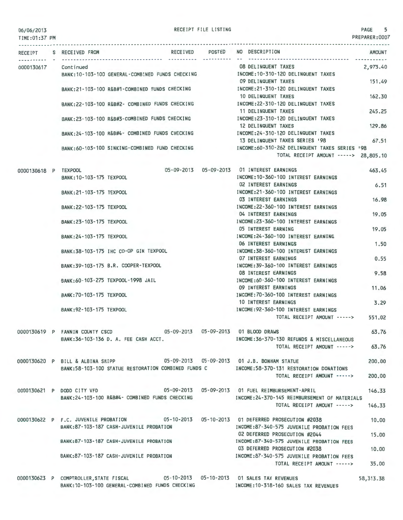| 06/06/2013 |  |  |  |
|------------|--|--|--|
|            |  |  |  |

RECEIPT FILE LISTING

PAGE 5 PREPARER:0007

| TIME: 01:37 PM       |                                                                                                                                      |                 |                                                                                                                     | <b>PREPARER: UUU</b> |
|----------------------|--------------------------------------------------------------------------------------------------------------------------------------|-----------------|---------------------------------------------------------------------------------------------------------------------|----------------------|
| RECEIPT              | S RECEIVED FROM                                                                                                                      | RECEIVED POSTED | NO DESCRIPTION                                                                                                      | <b>AMOUNT</b>        |
| 0000130617           | Continued<br>BANK:10-103-100 GENERAL-COMBINED FUNDS CHECKING MODE:10-310-120 DELINQUENT TAXES                                        |                 | 08 DELINQUENT TAXES                                                                                                 | 2,973.40             |
|                      | BANK:21-103-100 R&B#1-COMBINED FUNDS CHECKING                                                                                        |                 | 09 DELINQUENT TAXES<br>INCOME:21-310-120 DELINQUENT TAXES                                                           | 151.49               |
|                      | BANK:22-103-100 R&B#2- COMBINED FUNDS CHECKING                                                                                       |                 | 10 DELINQUENT TAXES<br>INCOME: 22-310-120 DELINQUENT TAXES                                                          | 162.30               |
|                      | BANK:23-103-100 R&B#3-COMBINED FUNDS CHECKING                                                                                        |                 | 11 DELINQUENT TAXES<br>INCOME:23-310-120 DELINQUENT TAXES                                                           | 245.25               |
|                      | BANK:24-103-100 R&B#4- COMBINED FUNDS CHECKING                                                                                       |                 | 12 DELINQUENT TAXES<br>INCOME: 24-310-120 DELINQUENT TAXES                                                          | 129.86               |
|                      | BANK:60-103-100 SINKING-COMBINED FUND CHECKING                                                                                       |                 | 13 DELINQUENT TAXES SERIES '98<br>INCOME:60-310-262 DELINQUENT TAXES SERIES '98                                     | 67.51                |
|                      |                                                                                                                                      |                 | TOTAL RECEIPT AMOUNT -----> 28,805.10                                                                               |                      |
| 0000130618 P TEXPOOL | BANK: 10-103-175 TEXPOOL                                                                                                             |                 | 05-09-2013  05-09-2013  01 INTEREST EARNINGS<br>INCOME: 10-360-100 INTEREST EARNINGS<br><b>02 INTEREST EARNINGS</b> | 463.45               |
|                      | BANK: 21-103-175 TEXPOOL                                                                                                             |                 | INCOME: 21-360-100 INTEREST EARNINGS<br>03 INTEREST EARNINGS                                                        | 6.51<br>16.98        |
|                      | BANK: 22-103-175 TEXPOOL                                                                                                             |                 | INCOME: 22-360-100 INTEREST EARNINGS<br>04 INTEREST EARNINGS                                                        | 19.05                |
|                      | BANK: 23-103-175 TEXPOOL                                                                                                             |                 | INCOME: 23-360-100 INTEREST EARNINGS<br>05 INTEREST EARNING                                                         | 19.05                |
|                      | BANK: 24 - 103 - 175 TEXPOOL                                                                                                         |                 | INCOME: 24-360-100 INTEREST EARNING<br>06 INTEREST EARNINGS                                                         | 1.50                 |
|                      | BANK: 38-103-175 IHC CO-OP GIN TEXPOOL                                                                                               |                 | INCOME: 38-360-100 INTEREST EARNINGS<br><b>07 INTEREST EARNINGS</b>                                                 | 0.55                 |
|                      | BANK: 39-103-175 B.R. COOPER-TEXPOOL                                                                                                 |                 | INCOME: 39-360-100 INTEREST EARNINGS<br><b>08 INTEREST EARNINGS</b>                                                 | 9.58                 |
|                      | BANK: 60-103-275 TEXPOOL-1998 JAIL                                                                                                   |                 | INCOME: 60-360-100 INTEREST EARNINGS<br>09 INTEREST EARNINGS                                                        | 11.06                |
|                      | BANK: 70-103-175 TEXPOOL                                                                                                             |                 | INCOME: 70-360-100 INTEREST EARNINGS<br>10 INTEREST EARNINGS                                                        | 3.29                 |
|                      | BANK: 92-103-175 TEXPOOL                                                                                                             |                 | INCOME: 92-360-100 INTEREST EARNINGS<br>TOTAL RECEIPT AMOUNT ----->                                                 | 551,02               |
|                      | 0000130619 P FANNIN COUNTY CSCD<br>BANK: 36-103-136 D. A. FEE CASH ACCT.                                                             |                 | 05-09-2013  05-09-2013  01 BLOOD DRAWS<br>INCOME: 36-370-130 REFUNDS & MISCELLANEOUS                                | 63.76                |
|                      |                                                                                                                                      |                 | TOTAL RECEIPT AMOUNT ----->                                                                                         | 63.76                |
|                      | 0000130620 P BILL & ALBINA SHIPP<br>BANK:58-103-100 STATUE RESTORATION COMBINED FUNDS C TROOME:58-370-131 RESTORATION DONATIONS      |                 | 05-09-2013  05-09-2013  01 J.B. BONHAM STATUE                                                                       | 200,00               |
|                      |                                                                                                                                      |                 | TOTAL RECEIPT AMOUNT ----->                                                                                         | 200,00               |
|                      | 0000130621 P DODD CITY VFD<br>BANK:24-103-100 R&B#4- COMBINED FUNDS CHECKING                                                         |                 | INCOME: 24-370-145 REIMBURSEMENT OF MATERIALS                                                                       | 146.33               |
|                      |                                                                                                                                      |                 | TOTAL RECEIPT AMOUNT ----->                                                                                         | 146.33               |
|                      | 0000130622 P F.C. JUVENILE PROBATION 05-10-2013 05-10-2013 01 DEFERRED PROSECUTION #2038<br>BANK: 87-103-187 CASH-JUVENILE PROBATION |                 | INCOME:87-340-575 JUVENILE PROBATION FEES                                                                           | 10.00                |
|                      | BANK:87-103-187 CASH-JUVENILE PROBATION                                                                                              |                 | 02 DEFERRED PROSECUTION #2044<br>INCOME:87-340-575 JUVENILE PROBATION FEES                                          | 15.00                |
|                      | BANK:87-103-187 CASH-JUVENILE PROBATION                                                                                              |                 | 03 DEFERRED PROSECUTION #2038<br>INCOME:87-340-575 JUVENILE PROBATION FEES<br>TOTAL RECEIPT AMOUNT ----->           | 10.00<br>35.00       |
|                      |                                                                                                                                      |                 |                                                                                                                     |                      |

0000130623 P COMPTROLLER,STATE FISCAL 05-10-2013 05-10-2013 BANK:10-103-100 GENERAL-COMBINED FUNDS CHECKING 01 SALES TAX REVENUES INCOME:10-318-160 SALES TAX REVENUES 58,313.38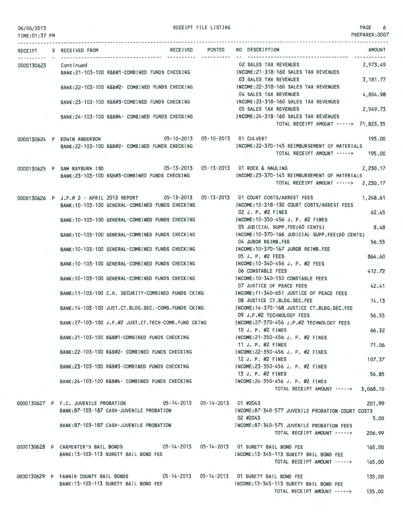| 06/06/2013<br>TIME: 01:37 PM |                         |                                                                                                                       | RECEIPT FILE LISTING |                                                                                                                                                              | PAGE 6<br>PREPARER: 0007 |
|------------------------------|-------------------------|-----------------------------------------------------------------------------------------------------------------------|----------------------|--------------------------------------------------------------------------------------------------------------------------------------------------------------|--------------------------|
|                              | RECEIPT S RECEIVED FROM |                                                                                                                       | RECEIVED POSTED      | NO DESCRIPTION                                                                                                                                               | AMOUNT                   |
| 0000130623                   | Continued               | BANK:21-103-100 R&B#1-COMBINED FUNDS CHECKING                                                                         |                      | <b>02 SALES TAX REVENUES</b><br>INCOME: 21-318-160 SALES TAX REVENUES                                                                                        | 2,973.49                 |
|                              |                         | BANK:22-103-100 R&B#2- COMBINED FUNDS CHECKING                                                                        |                      | 03 SALES TAX REVENUES<br>INCOME: 22-318-160 SALES TAX REVENUES<br>04 SALES TAX REVENUES                                                                      | 3,181.77<br>4,804.98     |
|                              |                         | BANK:23-103-100 R&B#3-COMBINED FUNDS CHECKING                                                                         |                      | INCOME: 23-318-160 SALES TAX REVENUES<br>05 SALES TAX REVENUES                                                                                               | 2,549.73                 |
|                              |                         | BANK:24-103-100 R&B#4- COMBINED FUNDS CHECKING                                                                        |                      | INCOME:24-318-160 SALES TAX REVENUES<br>TOTAL RECEIPT AMOUNT -----> 71,823.35                                                                                |                          |
|                              |                         | 0000130624 P EDWIN ANDERSON 05-10-2013 05-10-2013 01 CULVERT<br>BANK:22-103-100 R&B#2- COMBINED FUNDS CHECKING        |                      | INCOME: 22-370-145 REIMBURSEMENT OF MATERIALS                                                                                                                | 195.00                   |
|                              |                         |                                                                                                                       |                      | TOTAL RECEIPT AMOUNT ----->                                                                                                                                  | 195,00                   |
|                              |                         | 0000130625 P SAM RAYBURN ISD 05-13-2013 05-13-2013 01 ROCK & HAULING<br>BANK:23-103-100 R&B#3-COMBINED FUNDS CHECKING |                      | INCOME:23-370-145 REIMBURSEMENT OF MATERIALS<br>TOTAL RECEIPT AMOUNT -----> 2,230.17                                                                         | 2,230,17                 |
|                              |                         |                                                                                                                       |                      |                                                                                                                                                              |                          |
|                              |                         | BANK:10-103-100 GENERAL-COMBINED FUNDS CHECKING                                                                       |                      | 0000130626 P J.P.# 2 - APRIL 2013 REPORT 05-13-2013 05-13-2013 01 COURT COSTS/ARREST FEES<br>INCOME: 10-318-130 COURT COSTS/ARREST FEES<br>02 J. P. #2 FINES | 1,248.61<br>62.45        |
|                              |                         | BANK: 10-103-100 GENERAL-COMBINED FUNDS CHECKING                                                                      |                      | INCOME: 10-350-456 J. P. #2 FINES<br>03 JUDICIAL SUPP.FEE(60 CENTS)                                                                                          | 8.48                     |
|                              |                         | BANK: 10-103-100 GENERAL-COMBINED FUNDS CHECKING                                                                      |                      | INCOME: 10-370-166 JUDICIAL SUPP.FEE(60 CENTS)<br>04 JUROR REIMB.FEE                                                                                         | 56.55                    |
|                              |                         | BANK: 10-103-100 GENERAL-COMBINED FUNDS CHECKING                                                                      |                      | INCOME: 10-370-167 JUROR REIMB.FEE<br>05 J. P. #2 FEES                                                                                                       | 864.60                   |
|                              |                         | BANK:10-103-100 GENERAL-COMBINED FUNDS CHECKING                                                                       |                      | INCOME: 10-340-456 J. P. #2 FEES<br><b>06 CONSTABLE FEES</b>                                                                                                 | 412.72                   |
|                              |                         | BANK: 10-103-100 GENERAL-COMBINED FUNDS CHECKING                                                                      |                      | INCOME: 10-340-550 CONSTABLE FEES<br>07 JUSTICE OF PEACE FEES                                                                                                | 42.41                    |
|                              |                         | BANK: 11-103-100 C.H. SECURITY-COMBINED FUNDS CKING                                                                   |                      | INCOME:11-340-651 JUSTICE OF PEACE FEES<br>08 JUSTICE CT.BLDG.SEC.FEE                                                                                        | 14.13                    |
|                              |                         | BANK: 14-103-100 JUST.CT.BLDG.SEC.-COMB.FUNDS CKING                                                                   |                      | INCOME: 14-370-168 JUSTICE CT.BLDG.SEC.FEE<br>09 J.P.#2 TECHNOLOGY FEES                                                                                      | 56.55                    |
|                              |                         | BANK:27-103-100 J.P.#2 JUST.CT.TECH-COMB.FUND CKING                                                                   |                      | INCOME:27-370-456 J.P.#2 TECHNOLOGY FEES<br>10 J. P. #2 FINES                                                                                                | 66.32                    |
|                              |                         | BANK:21-103-100 R&B#1-COMBINED FUNDS CHECKING                                                                         |                      | INCOME: 21-350-456 J. P. #2 FINES<br>11 J. P. #2 FINES                                                                                                       | 71.06                    |
|                              |                         | BANK:22-103-100 R&B#2- COMBINED FUNDS CHECKING                                                                        |                      | INCOME: 22-350-456 J. P. #2 FINES<br>12 J. P. #2 FINES                                                                                                       | 107.37                   |
|                              |                         | BANK:23-103-100 R&B#3-COMBINED FUNDS CHECKING                                                                         |                      | INCOME: 23-350-456 J. P. #2 FINES<br>13 J. P. #2 FINES                                                                                                       | 56.85                    |
|                              |                         | BANK:24-103-100 R&B#4- COMBINED FUNDS CHECKING                                                                        |                      | INCOME: 24-350-456 J. P. #2 FINES<br>TOTAL RECEIPT AMOUNT -----> 3,068.10                                                                                    |                          |
|                              |                         | 0000130627 P F.C. JUVENILE PROBATION 05-14-2013 05-14-2013 01 #2043<br>BANK:87-103-187 CASH-JUVENILE PROBATION        |                      | INCOME:87-340-577 JUVENILE PROBATION COURT COSTS                                                                                                             | 201.99                   |
|                              |                         | BANK:87-103-187 CASH-JUVENILE PROBATION                                                                               |                      | 02 #2043<br>INCOME:87-340-575 JUVENILE PROBATION FEES<br>TOTAL RECEIPT AMOUNT ----->                                                                         | 5.00                     |
|                              |                         | 0000130628 P CARPENTER'S BAIL BONDS 05-14-2013 05-14-2013 01 SURETY BAIL BOND FEE                                     |                      |                                                                                                                                                              | 206.99<br>165.00         |
|                              |                         | BANK: 13-103-113 SURETY BAIL BOND FEE                                                                                 |                      | INCOME: 13-345-113 SURETY BAIL BOND FEE<br>TOTAL RECEIPT AMOUNT ----->                                                                                       | 165,00                   |

0000130629 P FANNIN COUNTY BAIL BONDS 05-14-2013 05-14-2013 01 SURETY BAIL BOND FEE 135.00 BANK:13-103-113 SURETY BAIL BOND FEE INCOME:13-345-113 SURETY BAIL BOND FEE TOTAL RECEIPT AMOUNT -----> 135.00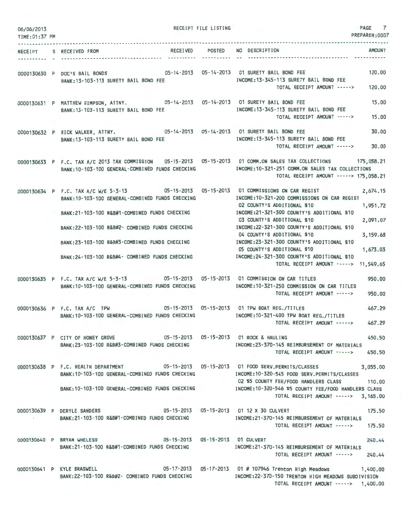| 06/06/2013     |                                                                                                                                                                                                                                                                                               | RECEIPT FILE LISTING |                                                                                                                          | PAGE 7               |
|----------------|-----------------------------------------------------------------------------------------------------------------------------------------------------------------------------------------------------------------------------------------------------------------------------------------------|----------------------|--------------------------------------------------------------------------------------------------------------------------|----------------------|
| TIME: 01:37 PM |                                                                                                                                                                                                                                                                                               |                      |                                                                                                                          | PREPARER: 0007       |
|                | RECEIVED POSTED NO DESCRIPTION<br>RECEIPT S RECEIVED FROM                                                                                                                                                                                                                                     |                      |                                                                                                                          | AMOUNT               |
|                | 0000130630 P DOC'S BAIL BONDS 05-14-2013 05-14-2013 01 SURETY BAIL BOND FEE<br>BANK: 13-103-113 SURETY BAIL BOND FEE                                                                                                                                                                          |                      | INCOME: 13-345-113 SURETY BAIL BOND FEE<br>TOTAL RECEIPT AMOUNT -----> 120.00                                            | 120.00               |
|                | 0000130631 P MATTHEW SIMPSON, ATTNY. 05-14-2013 05-14-2013 01 SURETY BAIL BOND FEE<br>BANK: 13-103-113 SURETY BAIL BOND FEE                                                                                                                                                                   |                      | INCOME:13-345-113 SURETY BAIL BOND FEE<br>TOTAL RECEIPT AMOUNT -----> 15.00                                              | 15.00                |
|                | 0000130632 P RICK WALKER, ATTNY. 05-14-2013 05-14-2013 01 SURETY BAIL BOND FEE<br>BANK: 13-103-113 SURETY BAIL BOND FEE                                                                                                                                                                       |                      | INCOME: 13-345-113 SURETY BAIL BOND FEE<br>TOTAL RECEIPT AMOUNT ----->                                                   | 30.00<br>30,00       |
|                | 0000130633 P F.C. TAX A/C 2013 TAX COMMISSION 05-15-2013 05-15-2013 01 COMM.ON SALES TAX COLLECTIONS 175,058.21<br>BANK:10-103-100 GENERAL-COMBINED FUNDS CHECKING MODE:10-321-251 COMM.ON SALES TAX COLLECTIONS                                                                              |                      | TOTAL RECEIPT AMOUNT -----> 175,058.21                                                                                   |                      |
|                | 0000130634 P F.C. TAX A/C W/E 5-3-13 05-15-2013 05-15-2013 01 COMMISSIONS ON CAR REGIST<br>BANK: 10-103-100 GENERAL-COMBINED FUNDS CHECKING<br>BANK:21-103-100 R&B#1-COMBINED FUNDS CHECKING                                                                                                  |                      | INCOME:10-321-200 COMMISSIONS ON CAR REGIST<br>02 COUNTY'S ADDITIONAL \$10<br>INCOME:21-321-300 COUNTY'S ADDITIONAL \$10 | 2.674.15<br>1,951.72 |
|                | BANK:22-103-100 R&B#2- COMBINED FUNDS CHECKING                                                                                                                                                                                                                                                |                      | 03 COUNTY'S ADDITIONAL \$10<br>INCOME: 22-321-300 COUNTY'S ADDITIONAL \$10                                               | 2,091.07             |
|                | BANK:23-103-100 R&B#3-COMBINED FUNDS CHECKING                                                                                                                                                                                                                                                 |                      | 04 COUNTY'S ADDITIONAL \$10<br>INCOME:23-321-300 COUNTY'S ADDITIONAL \$10                                                | 3,159.68             |
|                | BANK:24-103-100 R&B#4- COMBINED FUNDS CHECKING INCOME:24-321-300 COUNTY'S ADDITIONAL \$10                                                                                                                                                                                                     |                      | 05 COUNTY'S ADDITIONAL \$10<br>TOTAL RECEIPT AMOUNT -----> 11,549.65                                                     | 1,673.03             |
|                | 0000130635 P F.C. TAX A/C W/E 5-3-13 05-15-2013 05-15-2013 01 COMMISSION ON CAR TITLES<br>BANK: 10-103-100 GENERAL-COMBINED FUNDS CHECKING                                                                                                                                                    |                      | INCOME: 10-321-250 COMMISSION ON CAR TITLES<br>TOTAL RECEIPT AMOUNT ----->                                               | 950,00<br>950.00     |
|                | 0000130636 P F.C. TAX A/C TPW 05-15-2013 05-15-2013 01 TPW BOAT REG./TITLES<br>BANK: 10-103-100 GENERAL-COMBINED FUNDS CHECKING                                                                                                                                                               |                      | INCOME:10-321-400 TPW BOAT REG./TITLES<br>TOTAL RECEIPT AMOUNT ----->                                                    | 467.29<br>467.29     |
|                | 0000130637 P CITY OF HONEY GROVE 605-15-2013 05-15-2013 01 ROCK & HAULING<br>BANK:23-103-100 R&B#3-COMBINED FUNDS CHECKING INCOME:23-370-145 REIMBURSEMENT OF MATERIALS                                                                                                                       |                      | TOTAL RECEIPT AMOUNT -----> 450.50                                                                                       | 450.50               |
|                | 0000130638 P F.C. HEALTH DEPARTMENT 05-15-2013 05-15-2013 01 FOOD SERV.PERMITS/CLASSES<br>BANK:10-103-100 GENERAL-COMBINED FUNDS CHECKING INCOME:10-320-545 FOOD SERV.PERMITS/CLASSES<br>BANK:10-103-100 GENERAL-COMBINED FUNDS CHECKING INCOME:10-320-546 \$5 COUNTY FEE/FOOD HANDLERS CLASS |                      | 02 \$5 COUNTY FEE/FOOD HANDLERS CLASS 110.00                                                                             | 3,055.00             |
|                |                                                                                                                                                                                                                                                                                               |                      | TOTAL RECEIPT AMOUNT -----> 3,165.00                                                                                     |                      |
|                | 0000130639 P DERYLE SANDERS 05-15-2013 05-15-2013 01 12 X 30 CULVERT<br>BANK:21-103-100 R&B#1-COMBINED FUNDS CHECKING NORTH THOOME:21-370-145 REIMBURSEMENT OF MATERIALS                                                                                                                      |                      | 175.50<br>TOTAL RECEIPT AMOUNT -----> 175.50                                                                             |                      |
|                | 0000130640 P BRYAN WHELESS 05-15-2013 05-15-2013 01 CULVERT<br>BANK:21-103-100 R&B#1-COMBINED FUNDS CHECKING [NOTE:21-370-145 REIMBURSEMENT OF MATERIALS                                                                                                                                      |                      | TOTAL RECEIPT AMOUNT -----> 240.44                                                                                       | 240.44               |
|                | 0000130641 P KYLE BRASWELL 05-17-2013 05-17-2013 01 #107946 Trenton High Meadows 1,400.00<br>BANK:22-103-100 R&B#2- COMBINED FUNDS CHECKING                                                                                                                                                   |                      | INCOME:22-370-150 TRENTON HIGH MEADOWS SUBDIVISION<br>TOTAL RECEIPT AMOUNT -----> 1,400.00                               |                      |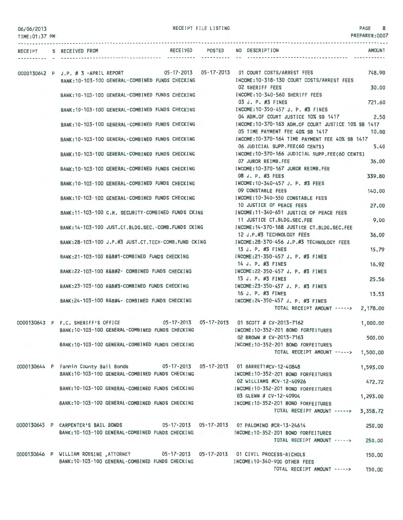06/06/2013 TIME:01 :37 PM RECEIPT FILE LISTING 8

|  | RECEIPT S RECEIVED FROM            |                                                     |  | RECEIVED POSTED NO DESCRIPTION                                                                                         | <b>AMOUNT</b> |
|--|------------------------------------|-----------------------------------------------------|--|------------------------------------------------------------------------------------------------------------------------|---------------|
|  |                                    |                                                     |  |                                                                                                                        |               |
|  |                                    |                                                     |  | 0000130642 P J.P. # 3 -APRIL REPORT 05-17-2013 05-17-2013 01 COURT COSTS/ARREST FEES                                   | 748.90        |
|  |                                    | BANK: 10-103-100 GENERAL-COMBINED FUNDS CHECKING    |  | INCOME: 10-318-130 COURT COSTS/ARREST FEES                                                                             |               |
|  |                                    |                                                     |  | <b>02 SHERIFF FEES</b>                                                                                                 | 30.00         |
|  |                                    | BANK:10-103-100 GENERAL-COMBINED FUNDS CHECKING     |  | INCOME:10-340-560 SHERIFF FEES                                                                                         |               |
|  |                                    |                                                     |  | 03 J. P. #3 FINES                                                                                                      | 721.60        |
|  |                                    | BANK:10-103-100 GENERAL-COMBINED FUNDS CHECKING     |  | INCOME:10-350-457 J. P. #3 FINES                                                                                       |               |
|  |                                    |                                                     |  | 04 ADM.OF COURT JUSTICE 10% SB 1417                                                                                    | 2.50          |
|  |                                    | BANK:10-103-100 GENERAL-COMBINED FUNDS CHECKING     |  | INCOME:10-370-163 ADM.OF COURT JUSTICE 10% SB 1417                                                                     |               |
|  |                                    |                                                     |  | 05 TIME PAYMENT FEE 40% SB 1417                                                                                        | 10,00         |
|  |                                    | BANK:10-103-100 GENERAL-COMBINED FUNDS CHECKING     |  | INCOME: 10-370-164 TIME PAYMENT FEE 40% SB 1417<br>06 JUDICIAL SUPP.FEE(60 CENTS)                                      | 5.40          |
|  |                                    | BANK:10-103-100 GENERAL-COMBINED FUNDS CHECKING     |  | INCOME:10-370-166 JUDICIAL SUPP.FEE(60 CENTS)                                                                          |               |
|  |                                    |                                                     |  | 07 JUROR REIMB.FEE                                                                                                     | 36.00         |
|  |                                    | BANK:10-103-100 GENERAL-COMBINED FUNDS CHECKING     |  | INCOME: 10-370-167 JUROR REIMB.FEE                                                                                     |               |
|  |                                    |                                                     |  | 08 J. P. #3 FEES                                                                                                       | 339.80        |
|  |                                    | BANK: 10-103-100 GENERAL-COMBINED FUNDS CHECKING    |  | INCOME: 10-340-457 J. P. #3 FEES                                                                                       |               |
|  |                                    |                                                     |  | 09 CONSTABLE FEES                                                                                                      | 140.00        |
|  |                                    | BANK:10-103-100 GENERAL-COMBINED FUNDS CHECKING     |  | INCOME:10-340-550 CONSTABLE FEES                                                                                       |               |
|  |                                    |                                                     |  | 10 JUSTICE OF PEACE FEES                                                                                               | 27,00         |
|  |                                    | BANK:11-103-100 C.H. SECURITY-COMBINED FUNDS CKING  |  | INCOME:11-340-651 JUSTICE OF PEACE FEES                                                                                |               |
|  |                                    |                                                     |  | 11 JUSTICE CT.BLDG.SEC.FEE<br>INCOME: 14-370-168 JUSTICE CT.BLDG.SEC.FEE                                               | 9.00          |
|  |                                    | BANK:14-103-100 JUST.CT.BLDG.SEC.-COMB.FUNDS CKING  |  | 12 J.P.#3 TECHNOLOGY FEES                                                                                              | 36.00         |
|  |                                    | BANK:28-103-100 J.P.#3 JUST.CT.TECH-COMB.FUND CKING |  | INCOME:28-370-456 J.P.#3 TECHNOLOGY FEES                                                                               |               |
|  |                                    |                                                     |  | 13 J. P. #3 FINES                                                                                                      | 15.79         |
|  |                                    | BANK:21-103-100 R&B#1-COMBINED FUNDS CHECKING       |  | INCOME:21-350-457 J. P. #3 FINES                                                                                       |               |
|  |                                    |                                                     |  | 14 J. P. #3 FINES                                                                                                      | 16.92         |
|  |                                    | BANK:22-103-100 R&B#2- COMBINED FUNDS CHECKING      |  | INCOME:22-350-457 J. P. #3 FINES                                                                                       |               |
|  |                                    |                                                     |  | 15 J. P. #3 FINES                                                                                                      | 25.56         |
|  |                                    | BANK:23-103-100 R&B#3-COMBINED FUNDS CHECKING       |  | INCOME:23-350-457 J. P. #3 FINES                                                                                       |               |
|  |                                    |                                                     |  | 16 J. P. #3 FINES                                                                                                      | 13.53         |
|  |                                    | BANK:24-103-100 R&B#4- COMBINED FUNDS CHECKING      |  | INCOME: 24-350-457 J. P. #3 FINES                                                                                      |               |
|  |                                    |                                                     |  | TOTAL RECEIPT AMOUNT -----> 2,178.00                                                                                   |               |
|  | 0000130643 P F.C. SHERIFF'S OFFICE |                                                     |  | 05-17-2013  05-17-2013  01 SCOTT # CV-2013-7162                                                                        | 1,000.00      |
|  |                                    | BANK: 10-103-100 GENERAL-COMBINED FUNDS CHECKING    |  | INCOME: 10-352-201 BOND FORFEITURES                                                                                    |               |
|  |                                    |                                                     |  | 02 BROWN # CV-2013-7163                                                                                                | 500.00        |
|  |                                    | BANK:10-103-100 GENERAL-COMBINED FUNDS CHECKING     |  | INCOME: 10-352-201 BOND FORFEITURES                                                                                    |               |
|  |                                    |                                                     |  | TOTAL RECEIPT AMOUNT -----> 1,500.00                                                                                   |               |
|  |                                    |                                                     |  |                                                                                                                        |               |
|  |                                    |                                                     |  | 0000130644 P Fannin County Bail Bonds 05-17-2013 05-17-2013 01 BARRETT#CV-12-40848                                     | 1,593.00      |
|  |                                    | BANK:10-103-100 GENERAL-COMBINED FUNDS CHECKING     |  | INCOME: 10-352-201 BOND FORFEITURES                                                                                    |               |
|  |                                    | BANK: 10-103-100 GENERAL-COMBINED FUNDS CHECKING    |  | 02 WILLIAMS #CV-12-40926                                                                                               | 472.72        |
|  |                                    |                                                     |  | INCOME: 10-352-201 BOND FORFEITURES<br>03 GLENN # CV-12-40904                                                          |               |
|  |                                    | BANK:10-103-100 GENERAL-COMBINED FUNDS CHECKING     |  | INCOME: 10-352-201 BOND FORFEITURES                                                                                    | 1,293.00      |
|  |                                    |                                                     |  | TOTAL RECEIPT AMOUNT -----> 3,358.72                                                                                   |               |
|  |                                    |                                                     |  |                                                                                                                        |               |
|  |                                    |                                                     |  | 0000130645 P CARPENTER'S BAIL BONDS 05-17-2013 05-17-2013 01 PALOMINO #CR-13-24614                                     | 250.00        |
|  |                                    |                                                     |  | BANK:10-103-100 GENERAL-COMBINED FUNDS CHECKING MODE:10-352-201 BOND FORFEITURES                                       |               |
|  |                                    |                                                     |  | TOTAL RECEIPT AMOUNT ----->                                                                                            | 250.00        |
|  |                                    |                                                     |  |                                                                                                                        |               |
|  |                                    | BANK: 10-103-100 GENERAL-COMBINED FUNDS CHECKING    |  | 0000130646 P WILLIAM ROSSINE ,ATTORNEY 05-17-2013 05-17-2013 01 CIVIL PROCESS-NICHOLS<br>INCOME: 10-340-900 OTHER FEES | 150.00        |
|  |                                    |                                                     |  | TOTAL RECEIPT AMOUNT ----->                                                                                            | 150.00        |
|  |                                    |                                                     |  |                                                                                                                        |               |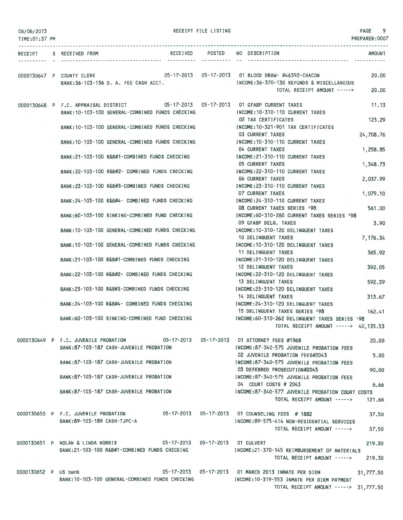| 06/06/2013<br>TIME: 01:37 PM |                                                                                                                     | RECEIPT FILE LISTING |                                                                                                                                                         | PAGE<br>9<br>PREPARER: 0007 |
|------------------------------|---------------------------------------------------------------------------------------------------------------------|----------------------|---------------------------------------------------------------------------------------------------------------------------------------------------------|-----------------------------|
| RECEIPT                      | RECEIVED<br>S RECEIVED FROM                                                                                         | POSTED               | NO DESCRIPTION                                                                                                                                          | <b>AMOUNT</b>               |
|                              | 0000130647 P COUNTY CLERK<br>BANK:36-103-136 D. A. FEE CASH ACCT.                                                   |                      | INCOME: 36-370-130 REFUNDS & MISCELLANEOUS<br>TOTAL RECEIPT AMOUNT ----->                                                                               | 20.00<br>20.00              |
|                              | 0000130648 P F.C. APPRAISAL DISTRICT<br>BANK: 10-103-100 GENERAL-COMBINED FUNDS CHECKING                            |                      | 05-17-2013  05-17-2013  01 GFABP CURRENT TAXES<br>INCOME: 10-310-110 CURRENT TAXES                                                                      | 11.13                       |
|                              | BANK: 10-103-100 GENERAL-COMBINED FUNDS CHECKING                                                                    |                      | 02 TAX CERTIFICATES<br>INCOME: 10-321-901 TAX CERTIFICATES                                                                                              | 123.29                      |
|                              | BANK: 10-103-100 GENERAL-COMBINED FUNDS CHECKING                                                                    |                      | <b>03 CURRENT TAXES</b><br>INCOME: 10-310-110 CURRENT TAXES                                                                                             | 24,708.76                   |
|                              | BANK: 21-103-100 R&B#1-COMBINED FUNDS CHECKING                                                                      |                      | 04 CURRENT TAXES<br>INCOME: 21-310-110 CURRENT TAXES<br><b>05 CURRENT TAXES</b>                                                                         | 1,258.85<br>1,348.73        |
|                              | BANK:22-103-100 R&B#2- COMBINED FUNDS CHECKING                                                                      |                      | INCOME: 22-310-110 CURRENT TAXES<br><b>06 CURRENT TAXES</b>                                                                                             | 2,037.99                    |
|                              | BANK: 23-103-100 R&B#3-COMBINED FUNDS CHECKING                                                                      |                      | INCOME: 23-310-110 CURRENT TAXES<br><b>07 CURRENT TAXES</b>                                                                                             | 1,079.10                    |
|                              | BANK: 24-103-100 R&B#4- COMBINED FUNDS CHECKING                                                                     |                      | INCOME: 24-310-110 CURRENT TAXES<br>08 CURRENT TAXES SERIES 198                                                                                         | 561,00                      |
|                              | BANK:60-103-100 SINKING-COMBINED FUND CHECKING                                                                      |                      | INCOME:60-310-260 CURRENT TAXES SERIES '98<br>09 GFABP DELQ. TAXES                                                                                      | 3.90                        |
|                              | BANK: 10-103-100 GENERAL-COMBINED FUNDS CHECKING                                                                    |                      | INCOME: 10-310-120 DELINQUENT TAXES<br>10 DELINQUENT TAXES                                                                                              | 7,176.34                    |
|                              | BANK: 10-103-100 GENERAL-COMBINED FUNDS CHECKING                                                                    |                      | INCOME: 10-310-120 DELINQUENT TAXES<br>11 DELINQUENT TAXES                                                                                              | 365.92                      |
|                              | BANK: 21-103-100 R&B#1-COMBINED FUNDS CHECKING<br>BANK:22-103-100 R&B#2- COMBINED FUNDS CHECKING                    |                      | INCOME:21-310-120 DELINQUENT TAXES<br>12 DELINQUENT TAXES<br>INCOME: 22-310-120 DELINQUENT TAXES                                                        | 392.05                      |
|                              | BANK:23-103-100 R&B#3-COMBINED FUNDS CHECKING                                                                       |                      | 13 DELINQUENT TAXES<br>INCOME: 23-310-120 DELINQUENT TAXES                                                                                              | 592.39                      |
|                              | BANK:24-103-100 R&B#4- COMBINED FUNDS CHECKING                                                                      |                      | 14 DELINQUENT TAXES<br>INCOME: 24-310-120 DELINQUENT TAXES                                                                                              | 313.67                      |
|                              | BANK:60-103-100 SINKING-COMBINED FUND CHECKING                                                                      |                      | 15 DELINQUENT TAXES SERIES '98<br>INCOME:60-310-262 DELINQUENT TAXES SERIES '98                                                                         | 162.41                      |
|                              | 0000130649 P F.C. JUVENILE PROBATION 05-17-2013 05-17-2013 01 ATTORNEY FEES #1968                                   |                      | TOTAL RECEIPT AMOUNT -----> 40,135.53                                                                                                                   | 20,00                       |
|                              | BANK:87-103-187 CASH-JUVENILE PROBATION                                                                             |                      | INCOME:87-340-575 JUVENILE PROBATION FEES<br>02 JUVENILE PROBATION FEES#2043                                                                            | 5.00                        |
|                              | BANK:87-103-187 CASH-JUVENILE PROBATION                                                                             |                      | INCOME:87-340-575 JUVENILE PROBATION FEES<br>03 DEFERRED PROSECUTION#2045                                                                               | 90,00                       |
|                              | BANK:87-103-187 CASH-JUVENILE PROBATION                                                                             |                      | INCOME:87-340-575 JUVENILE PROBATION FEES<br>04 COURT COSTS # 2043                                                                                      | 6.66                        |
|                              | BANK:87-103-187 CASH-JUVENILE PROBATION                                                                             |                      | INCOME:87-340-577 JUVENILE PROBATION COURT COSTS<br>TOTAL RECEIPT AMOUNT ----->                                                                         | 121.66                      |
|                              | 0000130650 P F.C. JUVENILE PROBATION 05-17-2013 05-17-2013 01 COUNSELING FEES #1882<br>BANK:89-103-189 CASH-TJPC-A  |                      | INCOME:89-575-414 NON-RESIDENTIAL SERVICES                                                                                                              | 37.50                       |
|                              |                                                                                                                     |                      | TOTAL RECEIPT AMOUNT -----> 37,50                                                                                                                       |                             |
|                              | 0000130651 P NOLAN & LINDA NORRIS 05-17-2013 05-17-2013 01 CULVERT<br>BANK:21-103-100 R&B#1-COMBINED FUNDS CHECKING |                      | INCOME:21-370-145 REIMBURSEMENT OF MATERIALS<br>TOTAL RECEIPT AMOUNT ----->                                                                             | 219.30<br>219.30            |
|                              |                                                                                                                     |                      |                                                                                                                                                         |                             |
| 0000130652 P US bank         | BANK: 10-103-100 GENERAL-COMBINED FUNDS CHECKING                                                                    |                      | 05-17-2013  05-17-2013  01 MARCH  2013 INMATE PER DIEM  31,777.50<br>INCOME:10-319-553 INMATE PER DIEM PAYMENT<br>TOTAL RECEIPT AMOUNT -----> 31,777.50 |                             |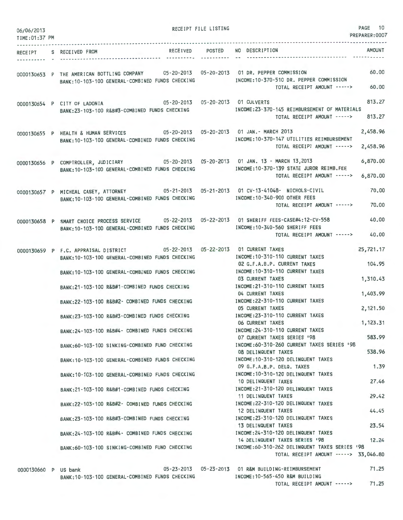| 06/06/2013<br>TIME: 01:37 PM |                                                                                                                                                      | RECEIPT FILE LISTING | PAGE 10<br>PREPARER:0007                                                                                                                |
|------------------------------|------------------------------------------------------------------------------------------------------------------------------------------------------|----------------------|-----------------------------------------------------------------------------------------------------------------------------------------|
| ---------- -                 | RECEIPT S RECEIVED FROM                                                                                                                              | ---------- --        | <b>AMOUNT</b><br>RECEIVED POSTED NO DESCRIPTION                                                                                         |
|                              | 0000130653 P THE AMERICAN BOTTLING COMPANY 05-20-2013 05-20-2013 01 DR. PEPPER COMMISSION<br>BANK: 10-103-100 GENERAL-COMBINED FUNDS CHECKING        |                      | 60.00<br>INCOME:10-370-510 DR. PEPPER COMMISSION<br>TOTAL RECEIPT AMOUNT -----><br>60.00                                                |
|                              | 0000130654 P CITY OF LADONIA<br>BANK:23-103-100 R&B#3-COMBINED FUNDS CHECKING                                                                        |                      | 813.27<br>05-20-2013  05-20-2013  01 CULVERTS<br>INCOME: 23-370-145 REIMBURSEMENT OF MATERIALS<br>813.27<br>TOTAL RECEIPT AMOUNT -----> |
|                              | 0000130655 P HEALTH & HUMAN SERVICES 05-20-2013 05-20-2013 01 JAN.- MARCH 2013<br>BANK: 10-103-100 GENERAL-COMBINED FUNDS CHECKING                   |                      | 2,458.96<br>INCOME: 10-370-147 UTILITIES REIMBURSEMENT<br>2,458.96<br>TOTAL RECEIPT AMOUNT ----->                                       |
|                              | 0000130656 P COMPTROLLER, JUDICIARY 05-20-2013 05-20-2013 01 JAN. 13 - MARCH 13,2013<br>BANK: 10-103-100 GENERAL-COMBINED FUNDS CHECKING             |                      | 6,870.00<br>INCOME: 10-370-139 STATE JUROR REIMB.FEE<br>6,870.00<br>TOTAL RECEIPT AMOUNT ----->                                         |
|                              | 0000130657 P MICHEAL CASEY, ATTORNEY 05-21-2013 05-21-2013 01 CV-13-41048- NICHOLS-CIVIL<br>BANK: 10-103-100 GENERAL-COMBINED FUNDS CHECKING         |                      | 70.00<br>INCOME: 10-340-900 OTHER FEES<br>TOTAL RECEIPT AMOUNT -----><br>70,00                                                          |
|                              | 0000130658 P SMART CHOICE PROCESS SERVICE 05-22-2013 05-22-2013 01 SHERIFF FEES-CASE#4:12-CV-558<br>BANK: 10-103-100 GENERAL-COMBINED FUNDS CHECKING |                      | 40.00<br>INCOME: 10-340-560 SHERIFF FEES<br>TOTAL RECEIPT AMOUNT -----><br>40.00                                                        |
|                              | 0000130659 P F.C. APPRAISAL DISTRICT 05-22-2013 05-22-2013 01 CURRENT TAXES<br>BANK: 10-103-100 GENERAL-COMBINED FUNDS CHECKING                      |                      | 25,721.17<br>INCOME: 10-310-110 CURRENT TAXES<br>104.95<br>02 G.F.A.B.P. CURRENT TAXES                                                  |
|                              | BANK: 10-103-100 GENERAL-COMBINED FUNDS CHECKING                                                                                                     |                      | INCOME: 10-310-110 CURRENT TAXES<br>1,310.43<br><b>03 CURRENT TAXES</b>                                                                 |
|                              | BANK:21-103-100 R&B#1-COMBINED FUNDS CHECKING                                                                                                        |                      | INCOME: 21-310-110 CURRENT TAXES<br>1,403.99<br>04 CURRENT TAXES                                                                        |
|                              | BANK:22-103-100 R&B#2- COMBINED FUNDS CHECKING<br>BANK:23-103-100 R&B#3-COMBINED FUNDS CHECKING                                                      |                      | INCOME: 22-310-110 CURRENT TAXES<br>2,121.50<br><b>05 CURRENT TAXES</b><br>INCOME: 23-310-110 CURRENT TAXES                             |
|                              | BANK:24-103-100 R&B#4- COMBINED FUNDS CHECKING                                                                                                       |                      | 1,123.31<br><b>06 CURRENT TAXES</b><br>INCOME: 24-310-110 CURRENT TAXES                                                                 |
|                              | BANK:60-103-100 SINKING-COMBINED FUND CHECKING                                                                                                       |                      | 583.99<br>07 CURRENT TAXES SERIES '98<br>INCOME:60-310-260 CURRENT TAXES SERIES '98                                                     |
|                              | BANK:10-103-100 GENERAL-COMBINED FUNDS CHECKING                                                                                                      |                      | 538.96<br>08 DELINQUENT TAXES<br>INCOME:10-310-120 DELINQUENT TAXES<br>1.39                                                             |
|                              | BANK: 10-103-100 GENERAL-COMBINED FUNDS CHECKING                                                                                                     |                      | 09 G.F.A.B.P. DELQ. TAXES<br>INCOME:10-310-120 DELINQUENT TAXES<br>27.46<br>10 DELINQUENT TAXES                                         |
|                              | BANK:21-103-100 R&B#1-COMBINED FUNDS CHECKING                                                                                                        |                      | INCOME:21-310-120 DELINQUENT TAXES<br>29.42<br>11 DELINQUENT TAXES                                                                      |
|                              | BANK:22-103-100 R&B#2- COMBINED FUNDS CHECKING                                                                                                       |                      | INCOME: 22-310-120 DELINQUENT TAXES<br>44.45<br>12 DELINQUENT TAXES                                                                     |
|                              | BANK: 23-103-100 R&B#3-COMBINED FUNDS CHECKING                                                                                                       |                      | INCOME: 23-310-120 DELINQUENT TAXES<br>23.54<br>13 DELINQUENT TAXES                                                                     |
|                              | BANK: 24-103-100 R&B#4- COMBINED FUNDS CHECKING                                                                                                      |                      | INCOME: 24-310-120 DELINQUENT TAXES<br>12.24<br>14 DELINQUENT TAXES SERIES '98<br>INCOME:60-310-262 DELINQUENT TAXES SERIES '98         |
|                              | BANK:60-103-100 SINKING-COMBINED FUND CHECKING                                                                                                       |                      | TOTAL RECEIPT AMOUNT -----> 33,046.80                                                                                                   |
| 0000130660 P US bank         |                                                                                                                                                      |                      | 71.25<br>05-23-2013  05-23-2013  01 R&M  BUILDING-REIMBURSEMENT                                                                         |

0000130660 P US bank 05-23-2013 05-23-2013 BANK:10-103-100 GENERAL-COMBINED FUNDS CHECKING

INCOME:10-565-450 R&M BUILDING TOTAL RECEIPT AMOUNT-----> 71.25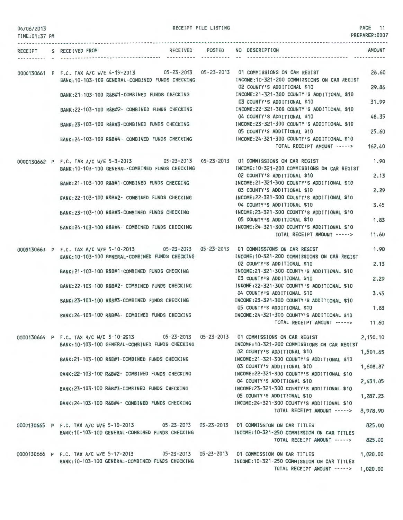| 06/06/2013 |  |  |  |  |
|------------|--|--|--|--|
|------------|--|--|--|--|

RECEIPT FILE LISTING

PAGE 11

| TIME:01:37 PM |  |                                                                                                                                                |  |                                                                                                                                                                                                                                                                                                                                                                                                          | <b>PREPARER: UUU</b> |
|---------------|--|------------------------------------------------------------------------------------------------------------------------------------------------|--|----------------------------------------------------------------------------------------------------------------------------------------------------------------------------------------------------------------------------------------------------------------------------------------------------------------------------------------------------------------------------------------------------------|----------------------|
|               |  | RECEIPT S RECEIVED FROM                                                                                                                        |  | RECEIVED POSTED NO DESCRIPTION                                                                                                                                                                                                                                                                                                                                                                           | AMOUNT               |
|               |  | 0000130661 P F.C. TAX A/C W/E 4-19-2013 05-23-2013 05-23-2013 01 COMMISSIONS ON CAR REGIST<br>BANK: 10-103-100 GENERAL-COMBINED FUNDS CHECKING |  | INCOME:10-321-200 COMMISSIONS ON CAR REGIST                                                                                                                                                                                                                                                                                                                                                              | 26.60                |
|               |  |                                                                                                                                                |  | 02 COUNTY'S ADDITIONAL \$10<br>INCOME:21-321-300 COUNTY'S ADDITIONAL \$10                                                                                                                                                                                                                                                                                                                                | 29.86                |
|               |  | BANK:21-103-100 R&B#1-COMBINED FUNDS CHECKING                                                                                                  |  | 03 COUNTY'S ADDITIONAL \$10                                                                                                                                                                                                                                                                                                                                                                              | 31.99                |
|               |  | BANK:22-103-100 R&B#2- COMBINED FUNDS CHECKING                                                                                                 |  | INCOME:22-321-300 COUNTY'S ADDITIONAL \$10<br>04 COUNTY'S ADDITIONAL \$10                                                                                                                                                                                                                                                                                                                                | 48.35                |
|               |  | BANK:23-103-100 R&B#3-COMBINED FUNDS CHECKING [INCOME:23-321-300 COUNTY'S ADDITIONAL \$10                                                      |  | 05 COUNTY'S ADDITIONAL \$10                                                                                                                                                                                                                                                                                                                                                                              | 25.60                |
|               |  | BANK:24-103-100 R&B#4- COMBINED FUNDS CHECKING                                                                                                 |  | INCOME: 24-321-300 COUNTY'S ADDITIONAL \$10<br>TOTAL RECEIPT AMOUNT ----->                                                                                                                                                                                                                                                                                                                               | 162.40               |
|               |  | 0000130662 P F.C. TAX A/C W/E 5-3-2013 05-23-2013 05-23-2013 01 COMMISSIONS ON CAR REGIST<br>BANK: 10-103-100 GENERAL-COMBINED FUNDS CHECKING  |  | INCOME: 10-321-200 COMMISSIONS ON CAR REGIST                                                                                                                                                                                                                                                                                                                                                             | 1.90                 |
|               |  | BANK:21-103-100 R&B#1-COMBINED FUNDS CHECKING                                                                                                  |  | 02 COUNTY'S ADDITIONAL \$10<br>INCOME:21-321-300 COUNTY'S ADDITIONAL \$10<br>03 COUNTY'S ADDITIONAL \$10<br>BANK:22-103-100 R&B#2- COMBINED FUNDS CHECKING MANUSIC INCOME:22-321-300 COUNTY'S ADDITIONAL \$10<br>04 COUNTY'S ADDITIONAL \$10<br>INCOME:23-321-300 COUNTY'S ADDITIONAL \$10<br>05 COUNTY'S ADDITIONAL \$10                                                                                | 2.13                 |
|               |  |                                                                                                                                                |  |                                                                                                                                                                                                                                                                                                                                                                                                          | 2.29                 |
|               |  |                                                                                                                                                |  |                                                                                                                                                                                                                                                                                                                                                                                                          | 3.45                 |
|               |  | BANK: 23-103-100 R&B#3-COMBINED FUNDS CHECKING                                                                                                 |  |                                                                                                                                                                                                                                                                                                                                                                                                          | 1.83                 |
|               |  | BANK:24-103-100 R&B#4- COMBINED FUNDS CHECKING                                                                                                 |  | INCOME:24-321-300 COUNTY'S ADDITIONAL \$10<br>TOTAL RECEIPT AMOUNT ----->                                                                                                                                                                                                                                                                                                                                | 11.60                |
|               |  | 0000130663 P F.C. TAX A/C W/E 5-10-2013 05-23-2013 05-23-2013 01 COMMISSIONS ON CAR REGIST                                                     |  |                                                                                                                                                                                                                                                                                                                                                                                                          | 1.90                 |
|               |  | BANK: 10-103-100 GENERAL-COMBINED FUNDS CHECKING                                                                                               |  | INCOME: 10-321-200 COMMISSIONS ON CAR REGIST<br>02 COUNTY'S ADDITIONAL \$10<br>INCOME:21-321-300 COUNTY'S ADDITIONAL \$10<br>03 COUNTY'S ADDITIONAL \$10<br>BANK:22-103-100 R&B#2- COMBINED FUNDS CHECKING MANUSIC INCOME:22-321-300 COUNTY'S ADDITIONAL \$10<br>04 COUNTY'S ADDITIONAL \$10<br>05 COUNTY'S ADDITIONAL \$10<br>INCOME:24-321-300 COUNTY'S ADDITIONAL \$10<br>TOTAL RECEIPT AMOUNT -----> | 2.13                 |
|               |  | BANK: 21-103-100 R&B#1-COMBINED FUNDS CHECKING                                                                                                 |  |                                                                                                                                                                                                                                                                                                                                                                                                          | 2.29                 |
|               |  |                                                                                                                                                |  |                                                                                                                                                                                                                                                                                                                                                                                                          | 3.45                 |
|               |  | BANK:23-103-100 R&B#3-COMBINED FUNDS CHECKING MODE:23-321-300 COUNTY'S ADDITIONAL \$10                                                         |  |                                                                                                                                                                                                                                                                                                                                                                                                          | 1.83                 |
|               |  | BANK:24-103-100 R&B#4- COMBINED FUNDS CHECKING                                                                                                 |  |                                                                                                                                                                                                                                                                                                                                                                                                          | 11.60                |
|               |  | 0000130664 P F.C. TAX A/C W/E 5-10-2013 05-23-2013 05-23-2013 01 COMMISSIONS ON CAR REGIST                                                     |  |                                                                                                                                                                                                                                                                                                                                                                                                          | 2,150.10             |
|               |  | BANK: 10-103-100 GENERAL-COMBINED FUNDS CHECKING                                                                                               |  | INCOME:10-321-200 COMMISSIONS ON CAR REGIST<br>02 COUNTY'S ADDITIONAL \$10                                                                                                                                                                                                                                                                                                                               | 1,501.65             |
|               |  | BANK:21-103-100 R&B#1-COMBINED FUNDS CHECKING                                                                                                  |  | INCOME:21-321-300 COUNTY'S ADDITIONAL \$10<br>03 COUNTY'S ADDITIONAL \$10                                                                                                                                                                                                                                                                                                                                | 1,608.87             |
|               |  | BANK:22-103-100 R&B#2- COMBINED FUNDS CHECKING                                                                                                 |  | INCOME:22-321-300 COUNTY'S ADDITIONAL \$10<br>04 COUNTY'S ADDITIONAL \$10                                                                                                                                                                                                                                                                                                                                | 2,431.05             |
|               |  | BANK:23-103-100 R&B#3-COMBINED FUNDS CHECKING                                                                                                  |  | INCOME:23-321-300 COUNTY'S ADDITIONAL \$10<br>05 COUNTY'S ADDITIONAL \$10                                                                                                                                                                                                                                                                                                                                | 1,287.23             |
|               |  | BANK:24-103-100 R&B#4- COMBINED FUNDS CHECKING                                                                                                 |  | INCOME:24-321-300 COUNTY'S ADDITIONAL \$10<br>TOTAL RECEIPT AMOUNT ----->                                                                                                                                                                                                                                                                                                                                | 8,978.90             |
|               |  | 0000130665 P F.C. TAX A/C W/E 5-10-2013 05-23-2013 05-23-2013 01 COMMISSION ON CAR TITLES                                                      |  |                                                                                                                                                                                                                                                                                                                                                                                                          | 825.00               |
|               |  | BANK: 10-103-100 GENERAL-COMBINED FUNDS CHECKING                                                                                               |  | INCOME:10-321-250 COMMISSION ON CAR TITLES<br>TOTAL RECEIPT AMOUNT ----->                                                                                                                                                                                                                                                                                                                                | 825.00               |
|               |  | 0000130666 P F.C. TAX A/C W/E 5-17-2013 05-23-2013 05-23-2013 01 COMMISSION ON CAR TITLES                                                      |  |                                                                                                                                                                                                                                                                                                                                                                                                          | 1,020.00             |
|               |  | BANK: 10-103-100 GENERAL-COMBINED FUNDS CHECKING                                                                                               |  | INCOME:10-321-250 COMMISSION ON CAR TITLES<br>TOTAL RECEIPT AMOUNT -----> 1,020.00                                                                                                                                                                                                                                                                                                                       |                      |
|               |  |                                                                                                                                                |  |                                                                                                                                                                                                                                                                                                                                                                                                          |                      |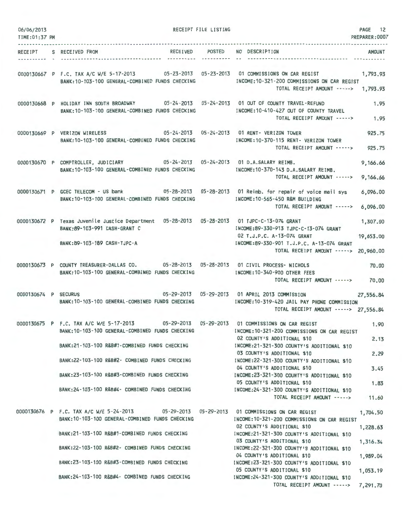| 06/06/2013<br>TIME: 01:37 PM |                                                                                                                                                      | RECEIPT FILE LISTING        |                                                                                                                   | PAGE<br>12<br>PREPARER: 0007 |
|------------------------------|------------------------------------------------------------------------------------------------------------------------------------------------------|-----------------------------|-------------------------------------------------------------------------------------------------------------------|------------------------------|
| <b>RECEIPT</b>               | <b>RECEIVED</b><br>S RECEIVED FROM<br>---------------------- ---------                                                                               | <b>POSTED</b><br>---------- | NO DESCRIPTION                                                                                                    | <b>AMOUNT</b>                |
|                              | 0000130667 P F.C. TAX A/C W/E 5-17-2013 05-23-2013 05-23-2013 01 COMMISSIONS ON CAR REGIST<br>BANK: 10-103-100 GENERAL-COMBINED FUNDS CHECKING       |                             | -- 10 - - 41<br>INCOME: 10-321-200 COMMISSIONS ON CAR REGIST<br>TOTAL RECEIPT AMOUNT -----> 1,793.93              | 1,793.93                     |
|                              | 0000130668 P HOLIDAY INN SOUTH BROADWAY<br>BANK: 10-103-100 GENERAL-COMBINED FUNDS CHECKING                                                          |                             | INCOME:10-410-427 OUT OF COUNTY TRAVEL<br>TOTAL RECEIPT AMOUNT ----->                                             | 1.95<br>1.95                 |
|                              | 0000130669 P VERIZON WIRELESS 05-24-2013 05-24-2013 01 RENT- VERIZON TOWER<br>BANK: 10-103-100 GENERAL-COMBINED FUNDS CHECKING                       |                             | INCOME: 10-370-115 RENT- VERIZON TOWER<br>TOTAL RECEIPT AMOUNT ----->                                             | 925,75<br>925.75             |
|                              | 0000130670 P COMPTROLLER, JUDICIARY 05-24-2013 05-24-2013 01 D.A.SALARY REIMB.<br>BANK: 10-103-100 GENERAL-COMBINED FUNDS CHECKING                   |                             | INCOME: 10-370-143 D.A.SALARY REIMB.<br>TOTAL RECEIPT AMOUNT ----->                                               | 9,166.66<br>9,166.66         |
|                              | 0000130671 P GCEC TELECOM - US bank 05-28-2013 05-28-2013 01 Reimb. for repair of voice mail sys<br>BANK: 10-103-100 GENERAL-COMBINED FUNDS CHECKING |                             | INCOME: 10-565-450 R&M BUILDING<br>TOTAL RECEIPT AMOUNT ----->                                                    | 6,096.00<br>6,096,00         |
|                              | 0000130672 P Texas Juvenile Justice Department 05-28-2013 05-28-2013 01 TJPC-C-13-074 GRANT<br>BANK: 89-103-991 CASH-GRANT C                         |                             | INCOME:89-330-913 TJPC-C-13-074 GRANT                                                                             | 1,307.00                     |
|                              | BANK: 89-103-189 CASH-TJPC-A                                                                                                                         |                             | 02 T.J.P.C. A-13-074 GRANT<br>INCOME:89-330-901 T.J.P.C. A-13-074 GRANT<br>TOTAL RECEIPT AMOUNT ----->            | 19,653.00<br>20,960.00       |
|                              | 0000130673 P COUNTY TREASURER-DALLAS CO.<br>BANK: 10-103-100 GENERAL-COMBINED FUNDS CHECKING                                                         |                             | 05-28-2013  05-28-2013  01 CIVIL PROCESS- NICHOLS<br>INCOME: 10-340-900 OTHER FEES<br>TOTAL RECEIPT AMOUNT -----> | 70.00<br>70,00               |
| 0000130674 P SECURUS         | 05-29-2013  05-29-2013  01 APRIL 2013  COMMISSION<br>BANK: 10-103-100 GENERAL-COMBINED FUNDS CHECKING                                                |                             | INCOME:10-319-420 JAIL PAY PHONE COMMISSION<br>TOTAL RECEIPT AMOUNT -----> 27,556.84                              | 27,556.84                    |
|                              | 0000130675 P F.C. TAX A/C W/E 5-17-2013 05-29-2013 05-29-2013 01 COMMISSIONS ON CAR REGIST<br>BANK:10-103-100 GENERAL-COMBINED FUNDS CHECKING        |                             | INCOME: 10-321-200 COMMISSIONS ON CAR REGIST<br>02 COUNTY'S ADDITIONAL \$10                                       | 1,90<br>2.13                 |
|                              | BANK:21-103-100 R&B#1-COMBINED FUNDS CHECKING                                                                                                        |                             | INCOME:21-321-300 COUNTY'S ADDITIONAL \$10<br>03 COUNTY'S ADDITIONAL \$10                                         | 2.29                         |
|                              | BANK:22-103-100 R&B#2- COMBINED FUNDS CHECKING                                                                                                       |                             | INCOME:22-321-300 COUNTY'S ADDITIONAL \$10<br>04 COUNTY'S ADDITIONAL \$10                                         | 3.45                         |
|                              | BANK:23-103-100 R&B#3-COMBINED FUNDS CHECKING                                                                                                        |                             | INCOME:23-321-300 COUNTY'S ADDITIONAL \$10<br>05 COUNTY'S ADDITIONAL \$10                                         | 1.83                         |
|                              | BANK:24-103-100 R&B#4- COMBINED FUNDS CHECKING                                                                                                       |                             | INCOME:24-321-300 COUNTY'S ADDITIONAL \$10<br>TOTAL RECEIPT AMOUNT ----->                                         | 11.60                        |
|                              | 0000130676 P F.C. TAX A/C W/E 5-24-2013 05-29-2013 05-29-2013 01 COMMISSIONS ON CAR REGIST<br>BANK: 10-103-100 GENERAL-COMBINED FUNDS CHECKING       |                             | INCOME:10-321-200 COMMISSIONS ON CAR REGIST                                                                       | 1,704.50                     |
|                              | BANK:21-103-100 R&B#1-COMBINED FUNDS CHECKING                                                                                                        |                             | 02 COUNTY'S ADDITIONAL \$10<br>INCOME:21-321-300 COUNTY'S ADDITIONAL \$10                                         | 1,228.63                     |
|                              | BANK:22-103-100 R&B#2- COMBINED FUNDS CHECKING                                                                                                       |                             | 03 COUNTY'S ADDITIONAL \$10<br>INCOME:22-321-300 COUNTY'S ADDITIONAL \$10<br>04 COUNTY'S ADDITIONAL \$10          | 1,316.34                     |
|                              | BANK:23-103-100 R&B#3-COMBINED FUNDS CHECKING                                                                                                        |                             | INCOME:23-321-300 COUNTY'S ADDITIONAL \$10<br>05 COUNTY'S ADDITIONAL \$10                                         | 1,989.04<br>1,053.19         |
|                              | BANK:24-103-100 R&B#4- COMBINED FUNDS CHECKING                                                                                                       |                             | INCOME:24-321-300 COUNTY'S ADDITIONAL \$10<br>TOTAL RECEIPT AMOUNT -----> 7,291.70                                |                              |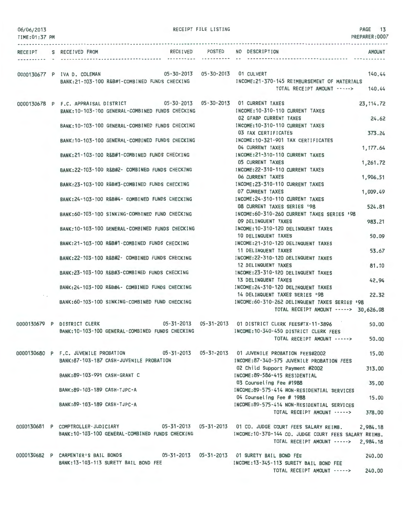| 06/06/2013<br>TIME: 01:37 PM |                               |                                                                                                               | RECEIPT FILE LISTING |                                                                                                                                                                                                | PAGE 13<br>PREPARER:0007 |
|------------------------------|-------------------------------|---------------------------------------------------------------------------------------------------------------|----------------------|------------------------------------------------------------------------------------------------------------------------------------------------------------------------------------------------|--------------------------|
|                              | RECEIPT S RECEIVED FROM       |                                                                                                               | ----------- --       | RECEIVED POSTED NO DESCRIPTION                                                                                                                                                                 | <b>AMOUNT</b>            |
|                              |                               | 0000130677 P IVA D. COLEMAN 05-30-2013 05-30-2013 01 CULVERT<br>BANK:21-103-100 R&B#1-COMBINED FUNDS CHECKING |                      | INCOME: 21-370-145 REIMBURSEMENT OF MATERIALS<br>TOTAL RECEIPT AMOUNT ----->                                                                                                                   | 140.44<br>140.44         |
|                              |                               | BANK: 10-103-100 GENERAL-COMBINED FUNDS CHECKING                                                              |                      | 0000130678 P F.C. APPRAISAL DISTRICT 05-30-2013 05-30-2013 01 CURRENT TAXES<br>INCOME: 10-310-110 CURRENT TAXES                                                                                | 23, 114.72               |
|                              |                               | BANK: 10-103-100 GENERAL-COMBINED FUNDS CHECKING                                                              |                      | 02 GFABP CURRENT TAXES<br>INCOME: 10-310-110 CURRENT TAXES                                                                                                                                     | 24.62                    |
|                              |                               | BANK:10-103-100 GENERAL-COMBINED FUNDS CHECKING                                                               |                      | 03 TAX CERTIFICATES<br>INCOME: 10-321-901 TAX CERTIFICATES                                                                                                                                     | 373.24                   |
|                              |                               | BANK:21-103-100 R&B#1-COMBINED FUNDS CHECKING                                                                 |                      | 04 CURRENT TAXES<br>INCOME: 21-310-110 CURRENT TAXES                                                                                                                                           | 1,177.64                 |
|                              |                               | BANK: 22-103-100 R&B#2- COMBINED FUNDS CHECKING                                                               |                      | <b>05 CURRENT TAXES</b><br>INCOME: 22-310-110 CURRENT TAXES                                                                                                                                    | 1,261.72                 |
|                              |                               | BANK:23-103-100 R&B#3-COMBINED FUNDS CHECKING                                                                 |                      | 06 CURRENT TAXES<br>INCOME: 23-310-110 CURRENT TAXES<br>07 CURRENT TAXES                                                                                                                       | 1,906.51<br>1,009.49     |
|                              |                               | BANK:24-103-100 R&B#4- COMBINED FUNDS CHECKING                                                                |                      | INCOME: 24-310-110 CURRENT TAXES<br>08 CURRENT TAXES SERIES '98                                                                                                                                | 524.81                   |
|                              |                               | BANK:60-103-100 SINKING-COMBINED FUND CHECKING                                                                |                      | INCOME:60-310-260 CURRENT TAXES SERIES '98<br>09 DELINQUENT TAXES                                                                                                                              | 983.21                   |
|                              |                               | BANK:10-103-100 GENERAL-COMBINED FUNDS CHECKING                                                               |                      | INCOME: 10-310-120 DELINQUENT TAXES<br>10 DELINQUENT TAXES                                                                                                                                     | 50.09                    |
|                              |                               | BANK:21-103-100 R&B#1-COMBINED FUNDS CHECKING                                                                 |                      | INCOME:21-310-120 DELINQUENT TAXES<br>11 DELINQUENT TAXES                                                                                                                                      | 53.67                    |
|                              |                               | BANK:22-103-100 R&B#2- COMBINED FUNDS CHECKING                                                                |                      | INCOME: 22-310-120 DELINQUENT TAXES<br>12 DELINQUENT TAXES                                                                                                                                     | 81.10                    |
|                              |                               | BANK:23-103-100 R&B#3-COMBINED FUNDS CHECKING                                                                 |                      | INCOME: 23-310-120 DELINQUENT TAXES<br>13 DELINQUENT TAXES                                                                                                                                     | 42.94                    |
|                              |                               | BANK:24-103-100 R&B#4- COMBINED FUNDS CHECKING                                                                |                      | INCOME: 24-310-120 DELINQUENT TAXES<br>14 DELINQUENT TAXES SERIES 198                                                                                                                          | 22.32                    |
|                              |                               | BANK:60-103-100 SINKING-COMBINED FUND CHECKING                                                                |                      | INCOME:60-310-262 DELINQUENT TAXES SERIES '98<br>TOTAL RECEIPT AMOUNT -----> 30,626.08                                                                                                         |                          |
|                              | 0000130679 P DISTRICT CLERK   | BANK: 10-103-100 GENERAL-COMBINED FUNDS CHECKING                                                              |                      | 05-31-2013  05-31-2013  01 DISTRICT CLERK FEES#TX-11-3896<br>INCOME:10-340-450 DISTRICT CLERK FEES<br>TOTAL RECEIPT AMOUNT ----->                                                              | 50.00<br>50.00           |
|                              |                               |                                                                                                               |                      | 0000130680 P F.C. JUVENILE PROBATION 05-31-2013 05-31-2013 01 JUVENILE PROBATION FEES#2002                                                                                                     | 15.00                    |
|                              |                               | BANK:87-103-187 CASH-JUVENILE PROBATION                                                                       |                      | INCOME:87-340-575 JUVENILE PROBATION FEES<br>02 Child Support Payment #2002                                                                                                                    | 313.00                   |
|                              | BANK: 89-103-991 CASH-GRANT C |                                                                                                               |                      | INCOME: 89-586-415 RESIDENTIAL<br>03 Counseling Fee #1988                                                                                                                                      | 35.00                    |
|                              | BANK:89-103-189 CASH-TJPC-A   |                                                                                                               |                      | INCOME:89-575-414 NON-RESIDENTIAL SERVICES<br>04 Counseling Fee # 1988                                                                                                                         | 15.00                    |
|                              | BANK: 89-103-189 CASH-TJPC-A  |                                                                                                               |                      | INCOME:89-575-414 NON-RESIDENTIAL SERVICES<br>TOTAL RECEIPT AMOUNT ----->                                                                                                                      | 378,00                   |
|                              |                               | BANK:10-103-100 GENERAL-COMBINED FUNDS CHECKING                                                               |                      | 0000130681 P COMPTROLLER-JUDICIARY 05-31-2013 05-31-2013 01 CO. JUDGE COURT FEES SALARY REIMB.<br>INCOME:10-370-144 CO. JUDGE COURT FEES SALARY REIMB.<br>TOTAL RECEIPT AMOUNT -----> 2,984.18 | 2,984.18                 |
|                              |                               | BANK: 13-103-113 SURETY BAIL BOND FEE                                                                         |                      | 0000130682 P CARPENTER'S BAIL BONDS 05-31-2013 05-31-2013 01 SURETY BAIL BOND FEE<br>INCOME: 13-345-113 SURETY BAIL BOND FEE<br>TOTAL RECEIPT AMOUNT ----->                                    | 240.00<br>240.00         |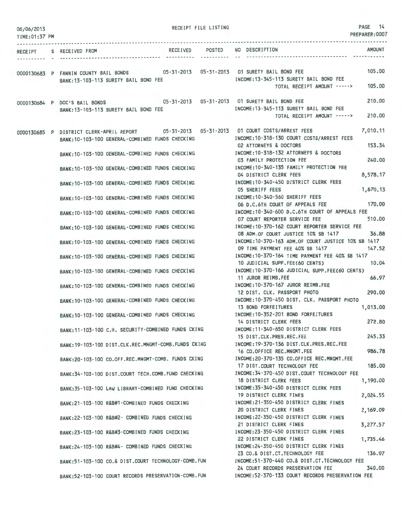| 06/06/2013<br>TIME: 01:37 PM |                                                                                                                              |                 | RECEIPT FILE LISTING |                                                                                                                                                                  | PAGE<br>- 14<br>PREPARER:0007 |
|------------------------------|------------------------------------------------------------------------------------------------------------------------------|-----------------|----------------------|------------------------------------------------------------------------------------------------------------------------------------------------------------------|-------------------------------|
|                              | RECEIPT S RECEIVED FROM                                                                                                      | <b>RECEIVED</b> | POSTED               | NO DESCRIPTION                                                                                                                                                   | <b>AMOUNT</b>                 |
|                              | 0000130683 P FANNIN COUNTY BAIL BONDS 05-31-2013 05-31-2013 01 SURETY BAIL BOND FEE<br>BANK: 13-103-113 SURETY BAIL BOND FEE |                 |                      | INCOME: 13-345-113 SURETY BAIL BOND FEE<br>TOTAL RECEIPT AMOUNT ----->                                                                                           | 105,00<br>105,00              |
|                              | 0000130684 P DOC'S BAIL BONDS<br>BANK: 13-103-113 SURETY BAIL BOND FEE                                                       |                 |                      | 05-31-2013  05-31-2013  01 SURETY BAIL BOND FEE<br>INCOME: 13-345-113 SURETY BAIL BOND FEE<br>TOTAL RECEIPT AMOUNT ----->                                        | 210.00<br>210.00              |
|                              | BANK:10-103-100 GENERAL-COMBINED FUNDS CHECKING                                                                              |                 |                      | 0000130685 P DISTRICT CLERK-APRIL REPORT 05-31-2013 05-31-2013 01 COURT COSTS/ARREST FEES<br>INCOME:10-318-130 COURT COSTS/ARREST FEES<br>02 ATTORNEYS & DOCTORS | 7,010.11<br>153.34            |
|                              | BANK: 10-103-100 GENERAL-COMBINED FUNDS CHECKING                                                                             |                 |                      | INCOME: 10-318-132 ATTORNEYS & DOCTORS<br>03 FAMILY PROTECTION FEE                                                                                               | 240,00                        |
|                              | BANK: 10-103-100 GENERAL-COMBINED FUNDS CHECKING                                                                             |                 |                      | INCOME: 10-340-135 FAMILY PROTECTION FEE<br>04 DISTRICT CLERK FEES                                                                                               | 8.578.17                      |
|                              | BANK: 10-103-100 GENERAL-COMBINED FUNDS CHECKING                                                                             |                 |                      | INCOME: 10-340-450 DISTRICT CLERK FEES<br>05 SHERIFF FEES                                                                                                        | 1,670,13                      |
|                              | BANK:10-103-100 GENERAL-COMBINED FUNDS CHECKING                                                                              |                 |                      | INCOME:10-340-560 SHERIFF FEES<br>06 D.C.6TH COURT OF APPEALS FEE                                                                                                | 170,00                        |
|                              | BANK: 10-103-100 GENERAL-COMBINED FUNDS CHECKING                                                                             |                 |                      | INCOME:10-340-600 D.C.6TH COURT OF APPEALS FEE<br>07 COURT REPORTER SERVICE FEE                                                                                  | 510,00                        |
|                              | BANK: 10-103-100 GENERAL-COMBINED FUNDS CHECKING                                                                             |                 |                      | INCOME:10-370-162 COURT REPORTER SERVICE FEE<br>08 ADM.OF COURT JUSTICE 10% SB 1417                                                                              | 36.88                         |
|                              | BANK:10-103-100 GENERAL-COMBINED FUNDS CHECKING                                                                              |                 |                      | INCOME:10-370-163 ADM.OF COURT JUSTICE 10% SB 1417<br>09 TIME PAYMENT FEE 40% SB 1417                                                                            | 147.52                        |
|                              | BANK: 10-103-100 GENERAL-COMBINED FUNDS CHECKING                                                                             |                 |                      | INCOME:10-370-164 TIME PAYMENT FEE 40% SB 1417<br>10 JUDICIAL SUPP.FEE(60 CENTS)                                                                                 | 10,04                         |
|                              | BANK:10-103-100 GENERAL-COMBINED FUNDS CHECKING                                                                              |                 |                      | INCOME:10-370-166 JUDICIAL SUPP.FEE(60 CENTS)<br>11 JUROR REIMB.FEE                                                                                              | 66.97                         |
|                              | BANK: 10-103-100 GENERAL-COMBINED FUNDS CHECKING                                                                             |                 |                      | INCOME: 10-370-167 JUROR REIMB.FEE<br>12 DIST. CLK. PASSPORT PHOTO                                                                                               | 290.00                        |
|                              | BANK: 10-103-100 GENERAL-COMBINED FUNDS CHECKING                                                                             |                 |                      | INCOME:10-370-450 DIST, CLK, PASSPORT PHOTO<br>13 BOND FORFEITURES                                                                                               | 1,013,00                      |
|                              | BANK: 10-103-100 GENERAL-COMBINED FUNDS CHECKING                                                                             |                 |                      | INCOME:10-352-201 BOND FORFEITURES<br>14 DISTRICT CLERK FEES                                                                                                     | 272.80                        |
|                              | BANK: 11-103-100 C.H. SECURITY-COMBINED FUNDS CKING                                                                          |                 |                      | INCOME:11-340-650 DISTRICT CLERK FEES<br>15 DIST.CLK.PRES.REC.FEE                                                                                                | 245.33                        |
|                              | BANK: 19-103-100 DIST.CLK.REC.MNGMT-COMB.FUNDS CKING                                                                         |                 |                      | INCOME: 19-370-136 DIST.CLK.PRES.REC.FEE<br>16 CO.OFFICE REC.MNGMT.FEE                                                                                           | 986.78                        |
|                              | BANK:20-103-100 CO.OFF.REC.MNGMT-COMB. FUNDS CKING                                                                           |                 |                      | INCOME: 20-370-135 CO.OFFICE REC.MNGMT.FEE<br>17 DIST.COURT TECHNOLOGY FEE                                                                                       | 185.00                        |
|                              | BANK: 34-103-100 DIST.COURT TECH.COMB.FUND CHECKING                                                                          |                 |                      | INCOME: 34-370-450 DIST.COURT TECHNOLOGY FEE<br>18 DISTRICT CLERK FEES                                                                                           | 1,190.00                      |
|                              | BANK:35-103-100 LAW LIBRARY-COMBINED FUND CHECKING                                                                           |                 |                      | INCOME: 35-340-450 DISTRICT CLERK FEES<br>19 DISTRICT CLERK FINES                                                                                                | 2,024.55                      |
|                              | BANK:21-103-100 R&B#1-COMBINED FUNDS CHECKING                                                                                |                 |                      | INCOME: 21-350-450 DISTRICT CLERK FINES<br>20 DISTRICT CLERK FINES                                                                                               | 2,169.09                      |
|                              | BANK:22-103-100 R&B#2- COMBINED FUNDS CHECKING                                                                               |                 |                      | INCOME: 22-350-450 DISTRICT CLERK FINES<br>21 DISTRICT CLERK FINES                                                                                               | 3,277.57                      |
|                              | BANK: 23-103-100 R&B#3-COMBINED FUNDS CHECKING                                                                               |                 |                      | INCOME:23-350-450 DISTRICT CLERK FINES<br>22 DISTRICT CLERK FINES                                                                                                | 1,735.46                      |
|                              | BANK: 24-103-100 R&B#4- COMBINED FUNDS CHECKING                                                                              |                 |                      | INCOME: 24-350-450 DISTRICT CLERK FINES<br>23 CO.& DIST.CT. TECHNOLOGY FEE                                                                                       | 136.97                        |
|                              | BANK: 51-103-100 CO.& DIST.COURT TECHNOLOGY-COMB. FUN                                                                        |                 |                      | INCOME:51-370-440 CO.& DIST.CT. TECHNOLOGY FEE<br>24 COURT RECORDS PRESERVATION FEE                                                                              | 340.00                        |
|                              | BANK:52-103-100 COURT RECORDS PRESERVATION-COMB. FUN                                                                         |                 |                      | INCOME: 52-370-133 COURT RECORDS PRESERVATION FEE                                                                                                                |                               |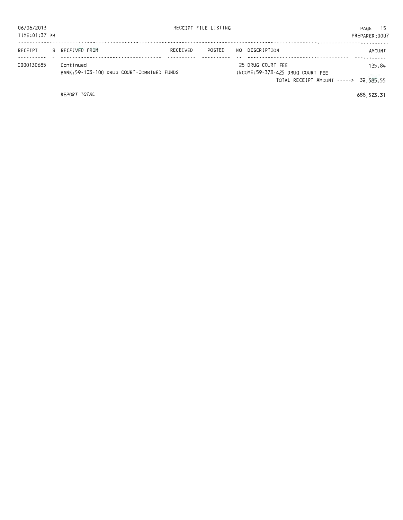| 06/06/2013<br>TIME:01:37 PM |                                                        |          | RECEIPT FILE LISTING |                                                                                                | PAGE<br>PREPARER: 0007 | - 15   |
|-----------------------------|--------------------------------------------------------|----------|----------------------|------------------------------------------------------------------------------------------------|------------------------|--------|
| RECEIPT                     | S RECEIVED FROM                                        | RECEIVED | POSTED               | NO DESCRIPTION                                                                                 |                        | AMOUNT |
| 0000130685                  | Continued<br>BANK:59-103-100 DRUG COURT-COMBINED FUNDS |          |                      | 25 DRUG COURT FEE<br>INCOME:59-370-425 DRUG COURT FEE<br>TOTAL RECEIPT AMOUNT -----> 32,585.55 |                        | 125.84 |

REPORT TOTAL

688,523.31